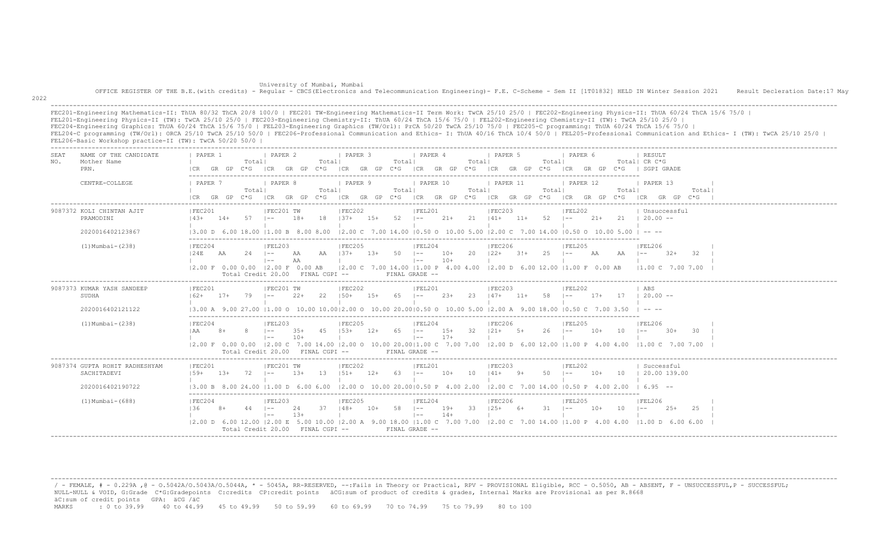University of Mumbai, Mumbai

OFFICE REGISTER OF THE B.E.(with credits) - Regular - CBCS(Electronics and Telecommunication Engineering) - F.E. C-Scheme - Sem II [1T01832] HELD IN Winter Session 2021 Result Decleration Date:17 May

2022

FEC201-Engineering Mathematics-II: ThUA 80/32 ThCA 20/8 100/0 | FEC201 TW-Engineering Mathematics-II Term Work: TwCA 25/10 25/0 | FEC202-Engineering Physics-II: ThUA 60/24 ThCA 15/6 75/0 | FEL201-Engineering Physics-II (TW): TwCA 25/10 25/0 | FEC203-Engineering Chemistry-II: ThUA 60/24 ThCA 15/6 75/0 | FEL202-Engineering Chemistry-II (TW): TwCA 25/10 25/0 | FEC204-Engineering Graphics: ThUA 60/24 ThCA 15/6 75/0 | FEL203-Engineering Graphics (TW/Orl): PrCA 50/20 TwCA 25/10 75/0 | FEC205-C programming: ThUA 60/24 ThCA 15/6 75/0 | FEL204-C programming (TW/Orl): ORCA 25/10 TwCA 25/10 50/0 | FEC206-Professional Communication and Ethics- I: ThUA 40/16 ThCA 10/4 50/0 | FEL205-Professional Communication and Ethics- I (TW): TwCA 25/10 25/0 | FEL206-Basic Workshop practice-II (TW): TwCA 50/20 50/0 |

-------------------------------------------------------------------------------------------------------------------------------------------------------------------------------------------------------------------

-------------------------------------------------------------------------------------------------------------------------------------------------------------------------------------------------------------------

| SEAT<br>NAME OF THE CANDIDATE<br>Mother Name<br>NO.<br>PRN.       | PAPER 1           |                                                                                                                                   | Totall                 | PAPER 2                                                          |                | Totall      | PAPER 3                      |       | Totall      | PAPER 4                                        |                | Totall      | PAPER <sub>5</sub>                                                                                                                                                                       |       | Total              | PAPER 6 |        |            | RESULT<br>Total  CR C*G<br>ICR GR GP C*G ICR GR GP C*G ICR GR GP C*G ICR GR GP C*G ICR GR GP C*G ICR GP C*G ICR GP C*G I SGPIGRADE                               |        |        |  |
|-------------------------------------------------------------------|-------------------|-----------------------------------------------------------------------------------------------------------------------------------|------------------------|------------------------------------------------------------------|----------------|-------------|------------------------------|-------|-------------|------------------------------------------------|----------------|-------------|------------------------------------------------------------------------------------------------------------------------------------------------------------------------------------------|-------|--------------------|---------|--------|------------|------------------------------------------------------------------------------------------------------------------------------------------------------------------|--------|--------|--|
| CENTRE-COLLEGE                                                    | PAPER 7           |                                                                                                                                   | Totall                 | PAPER 8                                                          |                | Totall      | PAPER 9                      |       | Totall      | PAPER 10                                       |                | Totall      | PAPER 11                                                                                                                                                                                 |       | PAPER 12<br>Totall |         |        | Totall     | PAPER 13<br>GR GP C*G  CR GR GP C*G  CR GR GP C*G  CR GR GP C*G  CR GR GP C*G  CR GP C*G  CR GP C*G  CR GR GP C*G                                                |        | Totall |  |
| 9087372 KOLI CHINTAN AJIT<br>PRAMODINI<br>2020016402123867        | FEC201<br>$14.3+$ | $14+$<br>13.00 D 6.00 18.00 11.00 B 8.00 8.00 12.00 C 7.00 14.00 10.50 O 10.00 5.00 12.00 C 7.00 14.00 10.50 O 10.00 5.00 I -- -- | $57 - 1 - -$           | FEC201 TW                                                        | $18+$          |             | FEC202<br>$18$ $137+$ $15+$  |       |             | FEL201                                         |                |             | FEC203<br>$52$ $1- 21+$ $21$ $141+$ $11+$                                                                                                                                                |       | $52 - 1 =$         | FEL202  | $21+$  |            | Unsuccessful<br>$21 \quad 120.00 -$                                                                                                                              |        |        |  |
| $(1)$ Mumbai - $(238)$                                            | FEC204<br>124E    | AA<br>$12.00 \t{F}$ 0.00 0.00 12.00 F 0.00 AB                                                                                     | $24$ $1--$             | FEL203<br>$1 - -$<br>Total Credit 20.00 FINAL CGPI --            | AA<br>AA       |             | FEC205<br>AA 137+ 13+ 50 1-- |       |             | FEL204<br>$1 - -$<br>FINAL GRADE --            | $10+$<br>$10+$ | $20 \t 22+$ | FEC206 <br>$(2.00 \text{ C} \quad 7.00 \text{ 14.00} \mid 1.00 \text{ P} \quad 4.00 \text{ 4.00} \mid 2.00 \text{ D} \quad 6.00 \text{ 12.00} \mid 1.00 \text{ F} \quad 0.00 \text{ AB}$ | $3!+$ | $25 \t - -$        | FEL205  | AA     | AA         | IFEL206<br>$1 - -$<br>11.00 C 7.00 7.00                                                                                                                          | $32+$  | - 32   |  |
| 9087373 KUMAR YASH SANDEEP<br>SUDHA<br>2020016402121122           | FEC201<br>$162+$  | $17+$<br>13.00 A 9.00 27.00 11.00 O 10.00 10.0012.00 O 10.00 20.0010.50 O 10.00 5.00 12.00 A 9.00 18.00 10.50 C 7.00 3.50         | $79$ $1 - -$           | FEC201 TW                                                        | $2.2+$         | 22          | FEC202<br>$150+$ 15+         |       | $65 = 1 -$  | FEL201                                         | $23+$          | 23          | FEC203<br>$147+$                                                                                                                                                                         | $11+$ | $58 - 1 - -$       | FEL202  | $17 +$ | 17         | ABS<br>$120.00 -$                                                                                                                                                |        |        |  |
| $(1)$ Mumbai - $(238)$                                            | IFEC204<br>I AA   | $8+$                                                                                                                              | $\overline{8}$<br>$ -$ | IFEL203<br>$\vert$ $-$<br>Total Credit 20.00 FINAL CGPI --       | $35+$<br>$10+$ | 45          | IFEC205<br>$153+$            | $12+$ | $65 \t - -$ | IFEL204<br>$\vert - - \vert$<br>FINAL GRADE -- | $15+$<br>$17+$ |             | IFEC206<br>$32 \t121+ 5+$                                                                                                                                                                |       | $26$ $1--$         | IFEL205 | $10+$  | $10 = 1 -$ | IFEL206<br>12.00 F 0.00 0.00 12.00 C 7.00 14.00 12.00 O 10.00 20.0011.00 C 7.00 7.00 12.00 D 6.00 12.00 11.00 P 4.00 4.00 11.00 C 7.00 7.00                      | $30+$  | -30    |  |
| 9087374 GUPTA ROHIT RADHESHYAM<br>SACHITADEVI<br>2020016402190722 | IFEC201<br>$159+$ | - 13+                                                                                                                             | $72 \quad - -$         | IFEC201 TW                                                       | $1.3+$         |             | IFEC202<br>$13 \t151+ \t12+$ |       | $63$ $1--$  | IFEL201                                        | $10+$          | 10          | IFEC203<br>$141+$ 9+                                                                                                                                                                     |       | $50 - 1 - -$       | IFEL202 | $10+$  |            | Successful<br>10   20.00 139.00<br>$(3.00 B 8.00 24.00 11.00 D 6.00 6.00 12.00 O 10.00 20.0010.50 P 4.00 2.00 12.00 C 7.00 14.00 10.50 P 4.00 2.00 16.95 --$     |        |        |  |
| $(1)$ Mumbai - $(688)$                                            | IFEC204<br>136    | $8+$                                                                                                                              | $44$ $1--$             | IFEL203<br>$\vert - - \vert$<br>Total Credit 20.00 FINAL CGPI -- | 24<br>$1.3+$   | $37 + 48 +$ | FEC205                       | $10+$ | $58 = -$    | FEL204<br>$1 - -$<br>FINAL GRADE --            | $19+$<br>$14+$ |             | FEC206 <br>$33 \t125+ 6+$                                                                                                                                                                |       | $31 - 1 -$         | IFEL205 | $10+$  | 10         | FEL206<br>$\vert - - \vert$<br> 2.00 D 6.00 12.00  2.00 E 5.00 10.00  2.00 A 9.00 18.00  1.00 C 7.00 7.00  2.00 C 7.00 14.00  1.00 P 4.00 4.00  1.00 D 6.00 6.00 | $2.5+$ | - 2.5  |  |

/ - FEMALE, # - 0.229A , @ - 0.5042A/O.5043A/O.5044A, \* - 5045A, RR-RESERVED, --:Fails in Theory or Practical, RPV - PROVISIONAL Eligible, RCC - 0.5050, AB - ABSENT, F - UNSUCCESSFUL, P - SUCCESSFUL; NULL-NULL & VOID, G:Grade C\*G:Gradepoints C:credits CP:credit points äCG:sum of product of credits & grades, Internal Marks are Provisional as per R.8668 äC:sum of credit points GPA: äCG /äC MARKS : 0 to 39.99 40 to 44.99 45 to 49.99 50 to 59.99 60 to 69.99 70 to 74.99 75 to 79.99 80 to 100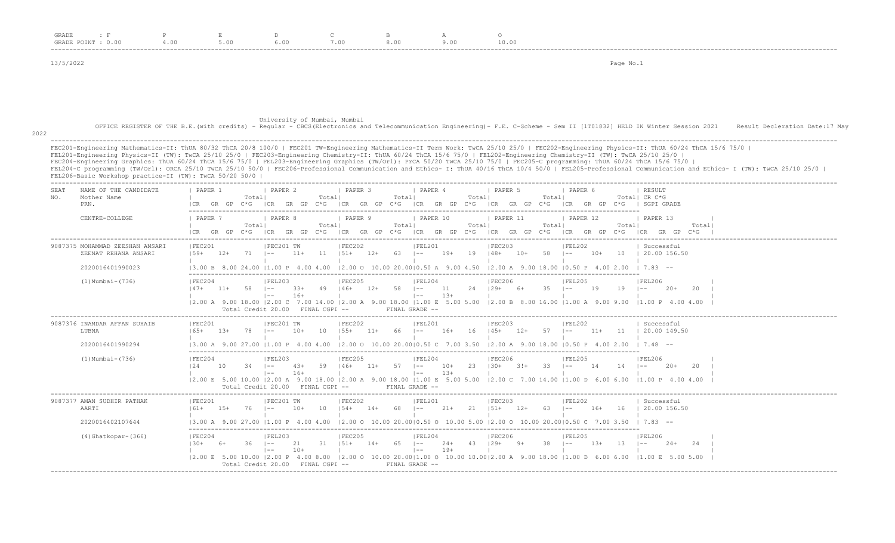| GRADE       | $\div$ F<br>GRADE POINT : 0.00                                                                                                                                                                                                                                                                                                                                                                                         | $\mathbf{P}$<br>4.00                    | E<br>5.00  | D<br>6.00                                                                                                                                                                                                                                                                                                                                                         | $\mathbb{C}$                     | 7.00                                                               | $\mathbf{B}$<br>8.00 | A<br>9.00                                    |                                   | $\circ$<br>10.00            |                         |                  |                          |                                                                                                                                                                                            |                                                                                                                                                                                                                |
|-------------|------------------------------------------------------------------------------------------------------------------------------------------------------------------------------------------------------------------------------------------------------------------------------------------------------------------------------------------------------------------------------------------------------------------------|-----------------------------------------|------------|-------------------------------------------------------------------------------------------------------------------------------------------------------------------------------------------------------------------------------------------------------------------------------------------------------------------------------------------------------------------|----------------------------------|--------------------------------------------------------------------|----------------------|----------------------------------------------|-----------------------------------|-----------------------------|-------------------------|------------------|--------------------------|--------------------------------------------------------------------------------------------------------------------------------------------------------------------------------------------|----------------------------------------------------------------------------------------------------------------------------------------------------------------------------------------------------------------|
| 13/5/2022   |                                                                                                                                                                                                                                                                                                                                                                                                                        |                                         |            |                                                                                                                                                                                                                                                                                                                                                                   |                                  |                                                                    |                      |                                              |                                   |                             |                         |                  | Page No.1                |                                                                                                                                                                                            |                                                                                                                                                                                                                |
|             |                                                                                                                                                                                                                                                                                                                                                                                                                        |                                         |            |                                                                                                                                                                                                                                                                                                                                                                   |                                  |                                                                    |                      |                                              |                                   |                             |                         |                  |                          |                                                                                                                                                                                            |                                                                                                                                                                                                                |
|             |                                                                                                                                                                                                                                                                                                                                                                                                                        |                                         |            |                                                                                                                                                                                                                                                                                                                                                                   |                                  |                                                                    |                      |                                              |                                   |                             |                         |                  |                          |                                                                                                                                                                                            |                                                                                                                                                                                                                |
|             |                                                                                                                                                                                                                                                                                                                                                                                                                        |                                         |            |                                                                                                                                                                                                                                                                                                                                                                   | University of Mumbai, Mumbai     |                                                                    |                      |                                              |                                   |                             |                         |                  |                          |                                                                                                                                                                                            | OFFICE REGISTER OF THE B.E. (with credits) - Regular - CBCS (Electronics and Telecommunication Engineering) - F.E. C-Scheme - Sem II [1T01832] HELD IN Winter Session 2021 Result Decleration Date:17 May      |
|             | FEL201-Engineering Physics-II (TW): TwCA 25/10 25/0   FEC203-Engineering Chemistry-II: ThUA 60/24 ThCA 15/6 75/0   FEL202-Engineering Chemistry-II (TW): TwCA 25/10 25/0  <br>FEC204-Engineering Graphics: ThUA 60/24 ThCA 15/6 75/0   FEL203-Engineering Graphics (TW/Orl): PrCA 50/20 TwCA 25/10 75/0   FEC205-C programming: ThUA 60/24 ThCA 15/6 75/0  <br>FEL206-Basic Workshop practice-II (TW): TwCA 50/20 50/0 |                                         |            |                                                                                                                                                                                                                                                                                                                                                                   |                                  |                                                                    |                      |                                              |                                   |                             |                         |                  |                          | FEC201-Engineering Mathematics-II: ThUA 80/32 ThCA 20/8 100/0   FEC201 TW-Engineering Mathematics-II Term Work: TwCA 25/10 25/0   FEC202-Engineering Physics-II: ThUA 60/24 ThCA 15/6 75/0 | FEL204-C programming (TW/Orl): ORCA 25/10 TwCA 25/10 50/0   FEC206-Professional Communication and Ethics- I: ThUA 40/16 ThCA 10/4 50/0   FEL205-Professional Communication and Ethics- I (TW): TwCA 25/10 25/0 |
| SEAT<br>NO. | NAME OF THE CANDIDATE<br>Mother Name                                                                                                                                                                                                                                                                                                                                                                                   | I PAPER 1<br>The company of the company |            | <i>I</i> PAPER 2<br>Totall                                                                                                                                                                                                                                                                                                                                        |                                  | PAPER 3<br>Total                                                   |                      | PAPER 4<br>Total                             |                                   | PAPER <sub>5</sub><br>Total |                         | PAPER 6<br>Total |                          | RESULT<br>Total  CR C*G                                                                                                                                                                    |                                                                                                                                                                                                                |
|             | PRN.<br>CENTRE-COLLEGE                                                                                                                                                                                                                                                                                                                                                                                                 | <b>I PAPER 7</b>                        |            |                                                                                                                                                                                                                                                                                                                                                                   |                                  |                                                                    |                      |                                              |                                   |                             |                         |                  |                          | ICR GR GP C*G ICR GR GP C*G ICR GR GP C*G ICR GR GP C*G ICR GR GP C*G ICR GR GP C*G I SGPIGRADE                                                                                            |                                                                                                                                                                                                                |
|             |                                                                                                                                                                                                                                                                                                                                                                                                                        |                                         |            | PAPER 8<br>Totall                                                                                                                                                                                                                                                                                                                                                 | Totall                           | PAPER 9                                                            | Total                | PAPER 10                                     | Total                             | PAPER 11                    | Total                   | PAPER 12         | Totall                   | PAPER 13<br>Totall<br> CR GR GP C*G  CR GR GP C*G  CR GR GP C*G  CR GR GP C*G  CR GR GP C*G  CR GP C*G  CR GP C*G  CR GR GP C*G                                                            |                                                                                                                                                                                                                |
|             | 9087375 MOHAMMAD ZEESHAN ANSARI<br>ZEENAT REHANA ANSARI                                                                                                                                                                                                                                                                                                                                                                | IFEC201                                 |            | FEC201 TW                                                                                                                                                                                                                                                                                                                                                         |                                  | FEC202                                                             |                      | FEL201                                       |                                   | FEC203                      |                         | FEL202           |                          | Successful<br> 59+ 12+ 71  -- 11+ 11  51+ 12+ 63  -- 19+ 19  48+ 10+ 58  -- 10+ 10   20.00 156.50                                                                                          |                                                                                                                                                                                                                |
|             | 2020016401990023                                                                                                                                                                                                                                                                                                                                                                                                       |                                         |            | $(3.00 \text{ B} \cdot 8.00 \cdot 24.00 \cdot 11.00 \text{ P} \cdot 4.00 \cdot 4.00 \cdot 12.00 \text{ O} \cdot 10.00 \cdot 20.00 \cdot 00.50 \text{ A} \cdot 9.00 \cdot 4.50 \cdot 12.00 \text{ A} \cdot 9.00 \cdot 18.00 \cdot 10.50 \text{ P} \cdot 4.00 \cdot 2.00 \cdot 17.83 \cdot -2.00 \cdot 10.00 \cdot 10.00 \cdot 10.00 \cdot 10.00 \cdot 10.00 \cdot$ |                                  |                                                                    |                      | $\blacksquare$                               | the contract of the contract of   |                             |                         |                  | the contract of the con- |                                                                                                                                                                                            |                                                                                                                                                                                                                |
|             | $(1)$ Mumbai - $(736)$                                                                                                                                                                                                                                                                                                                                                                                                 | IFEC204                                 | $147+$ 11+ | FEL203<br>$58$ $1- 33+$                                                                                                                                                                                                                                                                                                                                           |                                  | FEC205<br>49   46+ 12+ 58   -- 11                                  |                      | FEL204                                       |                                   | FEC206<br>24   29+ 6+       |                         | FEL205           | 35   -- 19 19   --       | FEL206<br>$2.0+$                                                                                                                                                                           |                                                                                                                                                                                                                |
|             |                                                                                                                                                                                                                                                                                                                                                                                                                        |                                         |            | $1 - -$<br>Total Credit 20.00 FINAL CGPI --                                                                                                                                                                                                                                                                                                                       | $16+$                            |                                                                    |                      | $13+$<br>$\vert - - \vert$<br>FINAL GRADE -- | <b>Contract Contract Contract</b> |                             | the control of the con- |                  |                          | 2.00 A 9.00 18.00  2.00 C 7.00 14.00  2.00 A 9.00 18.00  1.00 E 5.00 5.00  2.00 B 8.00 16.00  1.00 A 9.00 9.00  1.00 P 4.00 4.00                                                           |                                                                                                                                                                                                                |
|             | 9087376 INAMDAR AFFAN SUHAIB<br>LUBNA                                                                                                                                                                                                                                                                                                                                                                                  | IFEC201                                 | $165+$ 13+ | IFEC201 TW                                                                                                                                                                                                                                                                                                                                                        |                                  | FEC202                                                             |                      | FEL201                                       |                                   | FEC203                      |                         | IFEL202          |                          | Successful<br>78  -- 10+ 10  55+ 11+ 66  -- 16+ 16  45+ 12+ 57  -- 11+ 11  20.00149.50                                                                                                     |                                                                                                                                                                                                                |
|             | 2020016401990294                                                                                                                                                                                                                                                                                                                                                                                                       |                                         |            | $(3.00 \text{ A } 9.00 \text{ 27.00 } 11.00 \text{ P } 4.00 \text{ 4.00 } 12.00 \text{ O } 10.00 \text{ 20.00} 10.50 \text{ C } 7.00 \text{ 3.50 } 12.00 \text{ A } 9.00 \text{ 18.00 } 10.50 \text{ P } 4.00 \text{ 2.00 } 17.48 \text{ --}$                                                                                                                     |                                  |                                                                    |                      | $\Box$                                       |                                   | $\mathbb{R}$                |                         |                  |                          |                                                                                                                                                                                            |                                                                                                                                                                                                                |
|             | $(1)$ Mumbai - $(736)$                                                                                                                                                                                                                                                                                                                                                                                                 | IFEC204<br>124                          | - 10       | FEL203<br>$34 - 1 -$                                                                                                                                                                                                                                                                                                                                              | $43+$                            | FEC205<br>59   46+ 11+ 57   -- 10+ 23   30+ 3!+ 33   -- 14 14   -- |                      | FEL204                                       |                                   | FEC206                      |                         | IFEL205          |                          | FEL206<br>$2.0+$                                                                                                                                                                           |                                                                                                                                                                                                                |
|             |                                                                                                                                                                                                                                                                                                                                                                                                                        |                                         |            | $\vert$ $-$<br>Total Credit 20.00 FINAL CGPI --                                                                                                                                                                                                                                                                                                                   | $16+$<br>the control of the con- |                                                                    | FINAL GRADE --       | $ -----13+$                                  | the control of the                |                             |                         |                  |                          | 2.00 E 5.00 10.00  2.00 A 9.00 18.00  2.00 A 9.00 18.00  1.00 E 5.00 5.00  2.00 C 7.00 14.00  1.00 D 6.00 6.00  1.00 P 4.00 4.00                                                           |                                                                                                                                                                                                                |
|             | 9087377 AMAN SUDHIR PATHAK<br>AARTI                                                                                                                                                                                                                                                                                                                                                                                    | FEC201                                  |            | FEC201 TW                                                                                                                                                                                                                                                                                                                                                         |                                  | FEC202                                                             |                      | FEL201                                       |                                   | FEC203                      |                         | FEL202           |                          | Successful<br> 61+ 15+ 76  -- 10+ 10  54+ 14+ 68  -- 21+ 21  51+ 12+ 63  -- 16+ 16   20.00156.50                                                                                           |                                                                                                                                                                                                                |
|             | 2020016402107644                                                                                                                                                                                                                                                                                                                                                                                                       |                                         |            | $\left[3.00 \text{ A } 9.00 \text{ 27.00 } 11.00 \text{ P } 4.00 \text{ 4.00 } 12.00 \text{ O } 10.00 \text{ 20.00} \right]0.50 \text{ O } 10.00 \text{ 5.00 } 12.00 \text{ O } 10.00 \text{ 20.00} \right]0.50 \text{ C}$                                                                                                                                        |                                  |                                                                    |                      |                                              |                                   |                             |                         |                  |                          |                                                                                                                                                                                            |                                                                                                                                                                                                                |
|             | $(4) Ghatkopar-(366)$                                                                                                                                                                                                                                                                                                                                                                                                  | IFEC204<br>$130+$                       |            | IFEL203<br>$36 \t - - 21$<br>$\vert$ $-$                                                                                                                                                                                                                                                                                                                          | $10+$                            | <b>FEC205</b><br>$31 \t 151+ \t 14+ \t 65 \t 1-- \t 24+$           |                      | FEL204<br>$19+$<br>$\vert$ $-$               |                                   | FEC206<br>$43$ $129+$ $9+$  |                         | IFEL205          | $38$ $1- 13+$ $13$ $1--$ | FEL206<br>$2.4+$<br>$24$ $1$                                                                                                                                                               |                                                                                                                                                                                                                |
|             |                                                                                                                                                                                                                                                                                                                                                                                                                        |                                         |            | Total Credit 20.00 FINAL CGPI --                                                                                                                                                                                                                                                                                                                                  |                                  |                                                                    |                      | FINAL GRADE --                               |                                   |                             |                         |                  |                          | 2.00 E 5.00 10.00  2.00 P 4.00 8.00  2.00 O 10.00 20.00 1.00 O 10.00 10.00 2.00 A 9.00 18.00  1.00 D 6.00 6.00  1.00 E 5.00 5.00                                                           |                                                                                                                                                                                                                |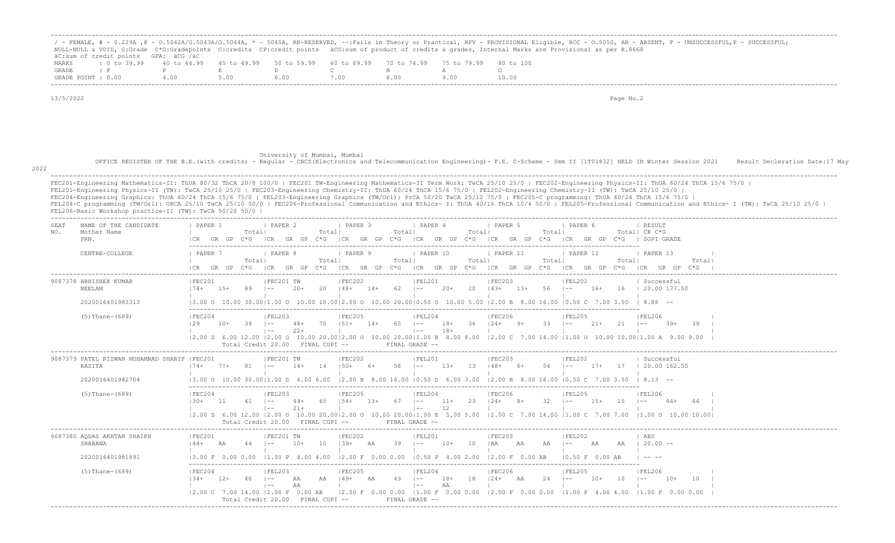| MARKS<br>GRADE | $: 0 \text{ to } 39.99$ 40 to 44.99<br>$\mathcal{F}$ $\mathbb{F}$<br>GRADE POINT : 0.00                                                                                                                                                                                                                                                                                                                              | P<br>4.00                      | 45 to 49.99 50 to 59.99 60 to 69.99 70 to 74.99<br>$\mathbf{E}$ and $\mathbf{E}$ and $\mathbf{E}$ and $\mathbf{E}$<br>5.00                                                                           | $D \sim 1$<br>6.00                                |                               | $\mathbb C$ and $\mathbb C$ and $\mathbb C$ and $\mathbb C$ and $\mathbb C$ and $\mathbb C$ and $\mathbb C$ and $\mathbb C$ and $\mathbb C$ and $\mathbb C$ and $\mathbb C$ and $\mathbb C$ and $\mathbb C$ and $\mathbb C$ and $\mathbb C$ and $\mathbb C$ and $\mathbb C$ and $\mathbb C$ and $\mathbb C$ and $\mathbb C$ and<br>7.00 | $\mathbb B$<br>8.00                             |                                 | 75 to 79.99<br>A<br>9.00                                                                                                  | 80 to 100<br>$\circ$<br>10.00      |                                                                                           |                                                                                                                           |           |                                                                                                                                                                                                                                                                                                                                                                                                                |
|----------------|----------------------------------------------------------------------------------------------------------------------------------------------------------------------------------------------------------------------------------------------------------------------------------------------------------------------------------------------------------------------------------------------------------------------|--------------------------------|------------------------------------------------------------------------------------------------------------------------------------------------------------------------------------------------------|---------------------------------------------------|-------------------------------|-----------------------------------------------------------------------------------------------------------------------------------------------------------------------------------------------------------------------------------------------------------------------------------------------------------------------------------------|-------------------------------------------------|---------------------------------|---------------------------------------------------------------------------------------------------------------------------|------------------------------------|-------------------------------------------------------------------------------------------|---------------------------------------------------------------------------------------------------------------------------|-----------|----------------------------------------------------------------------------------------------------------------------------------------------------------------------------------------------------------------------------------------------------------------------------------------------------------------------------------------------------------------------------------------------------------------|
| 13/5/2022      |                                                                                                                                                                                                                                                                                                                                                                                                                      |                                |                                                                                                                                                                                                      |                                                   |                               |                                                                                                                                                                                                                                                                                                                                         |                                                 |                                 |                                                                                                                           |                                    |                                                                                           |                                                                                                                           | Page No.2 |                                                                                                                                                                                                                                                                                                                                                                                                                |
|                |                                                                                                                                                                                                                                                                                                                                                                                                                      |                                |                                                                                                                                                                                                      |                                                   |                               |                                                                                                                                                                                                                                                                                                                                         |                                                 |                                 |                                                                                                                           |                                    |                                                                                           |                                                                                                                           |           |                                                                                                                                                                                                                                                                                                                                                                                                                |
|                |                                                                                                                                                                                                                                                                                                                                                                                                                      |                                |                                                                                                                                                                                                      | University of Mumbai, Mumbai                      |                               |                                                                                                                                                                                                                                                                                                                                         |                                                 |                                 |                                                                                                                           |                                    |                                                                                           |                                                                                                                           |           | OFFICE REGISTER OF THE B.E. (with credits) - Reqular - CBCS (Electronics and Telecommunication Engineering) - F.E. C-Scheme - Sem II [1T01832] HELD IN Winter Session 2021 Result Decleration Date:17 May                                                                                                                                                                                                      |
|                | FEL201-Engineering Physics-II (TW): TwCA 25/10 25/0   FEC203-Engineering Chemistry-II: ThUA 60/24 ThCA 15/6 75/0   FEL202-Engineering Chemistry-II (TW): TwCA 25/10 25/0  <br>FEC204-Engineering Graphics: ThUA 60/24 ThCA 15/6 75/0   FEL203-Engineering Graphics (TW/Orl): PrCA 50/20 TwCA 25/10 75/0   FEC205-C programming: ThUA 60/24 ThCA 15/6 75/0<br>FEL206-Basic Workshop practice-II (TW): TwCA 50/20 50/0 |                                |                                                                                                                                                                                                      |                                                   |                               |                                                                                                                                                                                                                                                                                                                                         |                                                 |                                 |                                                                                                                           |                                    |                                                                                           |                                                                                                                           |           | FEC201-Engineering Mathematics-II: ThUA 80/32 ThCA 20/8 100/0   FEC201 TW-Engineering Mathematics-II Term Work: TwCA 25/10 25/0   FEC202-Engineering Physics-II: ThUA 60/24 ThCA 15/6 75/0  <br>FEL204-C programming (TW/Orl): ORCA 25/10 TwCA 25/10 50/0   FEC206-Professional Communication and Ethics- I: ThUA 40/16 ThCA 10/4 50/0   FEL205-Professional Communication and Ethics- I (TW): TwCA 25/10 25/0 |
| SEAT<br>NO.    | NAME OF THE CANDIDATE<br>Mother Name<br>PRN.                                                                                                                                                                                                                                                                                                                                                                         | PAPER 1<br>and the contract of | Totall<br>ICR GR GP C*G ICR GR GP C*G ICR GR GP C*G ICR GR GP C*G ICR GR GP C*G ICR GR GP C*G I SGPIGRADE                                                                                            | PAPER 2                                           | Totall                        | PAPER 3                                                                                                                                                                                                                                                                                                                                 | Total                                           | PAPER 4                         | Total                                                                                                                     | PAPER 5                            |                                                                                           | PAPER 6<br>Total                                                                                                          |           | RESULT<br>Total  CR C*G                                                                                                                                                                                                                                                                                                                                                                                        |
|                | CENTRE-COLLEGE                                                                                                                                                                                                                                                                                                                                                                                                       | <i>I</i> PAPER 7               | Total                                                                                                                                                                                                | PAPER 8                                           |                               | PAPER <sub>9</sub><br>Total   Total                                                                                                                                                                                                                                                                                                     |                                                 | Total   Total                   | PAPER 10   PAPER 11                                                                                                       | Total   Total                      |                                                                                           | PAPER 12<br>Total   Total   Total   Total   Total   Total   Total   Total   Total   Total   Total   Total   Total   Total | Total     | PAPER 13<br>Totall<br>ICR GR GP C*G ICR GR GP C*G ICR GR GP C*G ICR GR GP C*G ICR GR GP C*G ICR GP C*G ICR GP C*G ICR GR GP C*G I                                                                                                                                                                                                                                                                              |
|                | 9087378 ABHISHEK KUMAR<br>NEELAM                                                                                                                                                                                                                                                                                                                                                                                     | FEC201                         | the control of the control of the                                                                                                                                                                    | FEC201 TW                                         |                               | FEC202                                                                                                                                                                                                                                                                                                                                  |                                                 |                                 | FEL201<br>the contract of the contract of the contract of the contract of the contract of the contract of the contract of |                                    | FEC203   FEL202<br>the control of the control of                                          |                                                                                                                           |           | Successful<br> 74+ 15+ 89  -- 20+ 20  48+ 14+ 62  -- 20+ 20  43+ 13+ 56  -- 16+ 16   20.00 177.50                                                                                                                                                                                                                                                                                                              |
|                | 2020016401983313                                                                                                                                                                                                                                                                                                                                                                                                     |                                |                                                                                                                                                                                                      |                                                   |                               |                                                                                                                                                                                                                                                                                                                                         |                                                 |                                 |                                                                                                                           |                                    |                                                                                           |                                                                                                                           |           |                                                                                                                                                                                                                                                                                                                                                                                                                |
|                | $(5)$ Thane- $(689)$                                                                                                                                                                                                                                                                                                                                                                                                 | IFEC204                        |                                                                                                                                                                                                      | IFEL203<br>$1 - -$ 22+                            |                               | FEC205                                                                                                                                                                                                                                                                                                                                  | $\vert$ 18+                                     |                                 | EEL204                                                                                                                    | IFEC206<br>the company of the com- |                                                                                           | FEL205                                                                                                                    |           | IFEL206<br> 29 10+ 39  -- 48+ 70  51+ 14+ 65  -- 18+ 36  24+ 9+ 33  -- 21+ 21  -- 39+ 39                                                                                                                                                                                                                                                                                                                       |
|                |                                                                                                                                                                                                                                                                                                                                                                                                                      |                                |                                                                                                                                                                                                      | Total Credit 20.00 FINAL CGPI -- FINAL GRADE --   |                               |                                                                                                                                                                                                                                                                                                                                         |                                                 |                                 |                                                                                                                           |                                    |                                                                                           |                                                                                                                           |           | 2.00 D 6.00 12.00  2.00 O 10.00 20.00 2.00 O 10.00 20.00 1.00 B 8.00 8.00  2.00 C 7.00 14.00  1.00 O 10.00 10.00 1.00 A 9.00 9.00                                                                                                                                                                                                                                                                              |
|                | 9087379 PATEL RIZWAN MOHAMMAD SHARIF   FEC201<br>RAZIYA                                                                                                                                                                                                                                                                                                                                                              |                                |                                                                                                                                                                                                      | FEC201 TW                                         |                               | FEC202                                                                                                                                                                                                                                                                                                                                  | the contract of the contract of the contract of | FEL201                          |                                                                                                                           | FEC203                             |                                                                                           | FEL202                                                                                                                    |           | Successful<br>$174+$ 7!+ 81 1-- 14+ 14 150+ 6+ 56 1-- 13+ 13 148+ 6+ 54 1-- 17+ 17 1 20.00 162.50                                                                                                                                                                                                                                                                                                              |
|                | 2020016401982704                                                                                                                                                                                                                                                                                                                                                                                                     |                                | $(3.00 \t 0 \t 10.00 \t 30.00 \t 11.00 \t D \t 6.00 \t 6.00 \t 12.00 \t B \t 8.00 \t 16.00 \t 10.50 \t D \t 6.00 \t 3.00 \t 12.00 \t B \t 8.00 \t 16.00 \t 10.50 \t C \t 7.00 \t 3.50 \t B.13 \t --$ |                                                   |                               |                                                                                                                                                                                                                                                                                                                                         |                                                 |                                 | the contract of the contract of the contract of the contract of the contract of                                           |                                    |                                                                                           |                                                                                                                           |           |                                                                                                                                                                                                                                                                                                                                                                                                                |
|                | $(5)$ Thane- $(689)$                                                                                                                                                                                                                                                                                                                                                                                                 | IFEC204                        | $130+11$                                                                                                                                                                                             | FEL203 <br>$41 - -$<br>$21+$<br>$\vert - - \vert$ |                               | FEC205                                                                                                                                                                                                                                                                                                                                  |                                                 | FEL204                          |                                                                                                                           |                                    | FEC206<br>the contract of the contract of the contract of the contract of the contract of | FEL205                                                                                                                    |           | FEL206<br>44+ 65   54+ 13+ 67   -- 11+ 23   24+ 8+ 32   -- 15+ 15   -- 44+<br><b>Contract Contract</b>                                                                                                                                                                                                                                                                                                         |
|                |                                                                                                                                                                                                                                                                                                                                                                                                                      |                                |                                                                                                                                                                                                      | Total Credit 20.00 FINAL CGPI --                  |                               |                                                                                                                                                                                                                                                                                                                                         | FINAL GRADE --                                  |                                 |                                                                                                                           |                                    |                                                                                           |                                                                                                                           |           | 2.00 D 6.00 12.00  2.00 O 10.00 20.00 2.00 O 10.00 20.00 1.00 E 5.00 5.00  2.00 C 7.00 14.00  1.00 C 7.00 7.00  1.00 O 10.00 10.00                                                                                                                                                                                                                                                                             |
|                | 9087380 AQDAS AKHTAR SHAIKH<br>SHABANA                                                                                                                                                                                                                                                                                                                                                                               |                                | 44+ AA 44  -- 10+ 10  39+ AA 39  -- 10+ 10  AA AA AA  -- AA AA  20.00--                                                                                                                              |                                                   |                               |                                                                                                                                                                                                                                                                                                                                         |                                                 |                                 |                                                                                                                           |                                    |                                                                                           |                                                                                                                           |           |                                                                                                                                                                                                                                                                                                                                                                                                                |
|                | 2020016401981891                                                                                                                                                                                                                                                                                                                                                                                                     |                                | $\mid$ 3.00 F 0.00 0.00 $\mid$ 1.00 P 4.00 4.00 $\mid$ 2.00 F 0.00 0.00 $\mid$ 0.50 P 4.00 2.00 $\mid$ 2.00 F 0.00 AB $\mid$ -----                                                                   | and the state of the state                        | the control of the control of |                                                                                                                                                                                                                                                                                                                                         |                                                 | the contract of the contract of |                                                                                                                           | the contract of the con-           |                                                                                           |                                                                                                                           |           |                                                                                                                                                                                                                                                                                                                                                                                                                |
|                | $(5)$ Thane- $(689)$                                                                                                                                                                                                                                                                                                                                                                                                 | FEC204                         |                                                                                                                                                                                                      | FEL203                                            |                               | FEC205                                                                                                                                                                                                                                                                                                                                  |                                                 | FEL204                          |                                                                                                                           | FEC206                             |                                                                                           | FEL205                                                                                                                    |           | FEL206<br> 34+ 12+ 46  -- AA AA  49+ AA 49  -- 18+ 18  24+ AA 24  -- 10+ 10  -- 10+ 10                                                                                                                                                                                                                                                                                                                         |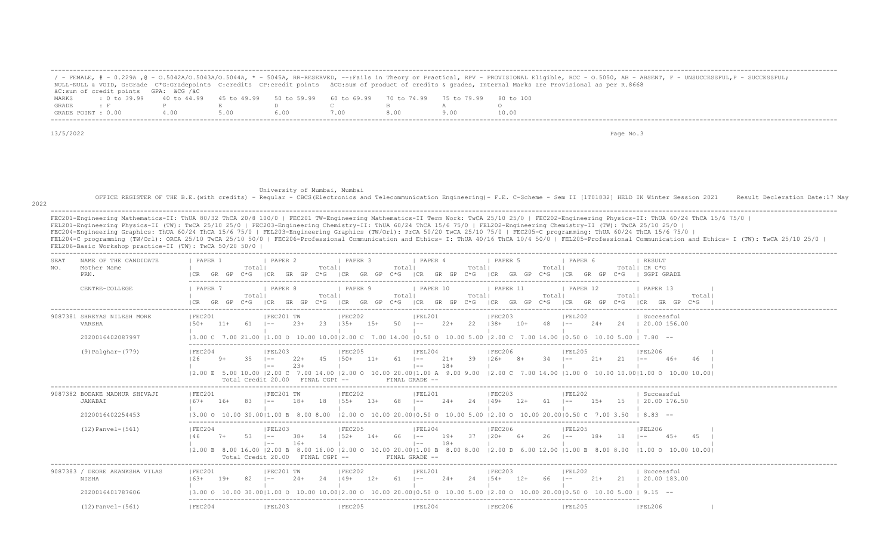/ - FEMALE, # - 0.229A ,@ - O.5042A/O.5043A/O.5044A, \* - 5045A, RR-RESERVED, --:Fails in Theory or Practical, RPV - PROVISIONAL Eligible, RCC - O.5050, AB - ABSENT, F - UNSUCCESSFUL,P - SUCCESSFUL; NULL-NULL & VOID, G:Grade C\*G:Gradepoints C:credits CP:credit points äCG:sum of product of credits & grades, Internal Marks are Provisional as per R.8668 äC:sum of credit points GPA: äCG /äC Marks 10 to 39.99 40 to 44.99 45 to 49.99 50 to 59.99 60 to 69.99 70 to 74.99 75 to 79.99 80 to 100<br>F P E D C B A O GRADE : F P E D C B A O GRADE POINT : 0.00 4.00 5.00 6.00 7.00 8.00 9.00 10.00 -------------------------------------------------------------------------------------------------------------------------------------------------------------------------------------------------------------------

-------------------------------------------------------------------------------------------------------------------------------------------------------------------------------------------------------------------

13/5/2022 Page No.3

University of Mumbai, Mumbai

OFFICE REGISTER OF THE B.E.(with credits) - Regular - CBCS(Electronics and Telecommunication Engineering)- F.E. C-Scheme - Sem II [1T01832] HELD IN Winter Session 2021 Result Decleration Date:17 May

#### 2022

FEC201-Engineering Mathematics-II: ThUA 80/32 ThCA 20/8 100/0 | FEC201 TW-Engineering Mathematics-II Term Work: TwCA 25/10 25/0 | FEC202-Engineering Physics-II: ThUA 60/24 ThCA 15/6 75/0 | FEL201-Engineering Physics-II (TW): TwCA 25/10 25/0 | FEC203-Engineering Chemistry-II: ThUA 60/24 ThCA 15/6 75/0 | FEL202-Engineering Chemistry-II (TW): TwCA 25/10 25/0 | FEC204-Engineering Graphics: ThUA 60/24 ThCA 15/6 75/0 | FEL203-Engineering Graphics (TW/Orl): PrCA 50/20 TwCA 25/10 75/0 | FEC205-C programming: ThUA 60/24 ThCA 15/6 75/0 | FEL204-C programming (TW/Orl): ORCA 25/10 TwCA 25/10 50/0 | FEC206-Professional Communication and Ethics- I: ThUA 40/16 ThCA 10/4 50/0 | FEL205-Professional Communication and Ethics- I (TW): TwCA 25/10 25/0 | FEL206-Basic Workshop practice-II (TW): TwCA 50/20 50/0 |

| ------------------------------------                        |                    |                                                          |                                                                  |                                                                                                        |                                                             |                                                       |                                                |                                                       |
|-------------------------------------------------------------|--------------------|----------------------------------------------------------|------------------------------------------------------------------|--------------------------------------------------------------------------------------------------------|-------------------------------------------------------------|-------------------------------------------------------|------------------------------------------------|-------------------------------------------------------|
| NAME OF THE CANDIDATE<br>SEAT<br>Mother Name<br>NO.<br>PRN. | PAPER              | Totall<br>GP<br>C*G<br>GR                                | 1 PAPER 2<br>Total<br>GR<br><b>GP</b><br>C*G<br>I CR             | PAPER 3<br>Total<br>- GP<br>ICR<br>GR<br>$C*G$                                                         | PAPER 4<br>Totall<br>ICR<br>GR.<br><b>GP</b>                | PAPER 5<br>Total<br>GR                                | <i>I</i> PAPER 6<br>GR.                        | RESULT<br>Totall CR C*G<br>SGPI GRADE                 |
| CENTRE-COLLEGE                                              | PAPER 7            | Totall<br>GR<br><b>GP</b><br>C*G                         | <i>I</i> PAPER 8<br>Total<br>GR.<br>GP<br>I CR<br>C*G            | <i>I</i> PAPER 9<br>Total<br>GR<br>- GP<br>ICR<br>$C*G$                                                | <b>I PAPER 10</b><br>Totall<br>- GP<br>ICR<br>GR<br>$C * G$ | <b>I PAPER 11</b><br>Totall<br><b>GP</b><br>GR<br>C*G | PAPER 12<br>Total<br>$C*G$<br>GR<br>GP<br>I CR | <b>I PAPER 13</b><br>Total <br>C*G<br>GR<br><b>GP</b> |
| 9087381 SHREYAS NILESH MORE<br>VARSHA                       | IFEC201<br>$1.50+$ | -61<br>$11+$                                             | IFEC201 TW<br>23<br>$2.3+$<br>$- -$                              | IFEC202<br>50<br>$135+$<br>$1.5+$                                                                      | IFEL201<br>$2.2+$<br>22<br>$- -$                            | IFEC203<br>48<br>- 38+<br>$10+$                       | IFEL202<br>$24+$<br>-2.4<br>$- -$              | Successful<br>20.00 156.00                            |
| 2020016402087997                                            | 13.00 C            | ററ                                                       |                                                                  | $11.00 \Omega$ 10.00 10.0012.00 C 7.00 14.00                                                           | $10.50$ O<br>10.00 5.00 12.00 C                             | -700                                                  | $10.50$ $\Omega$<br>10.00                      | $7.80 - -$                                            |
| $(9)$ Palghar- $(779)$                                      | FEC204<br>126      | 35                                                       | FEL203<br>4.5<br>$22+$<br>$1 - -$<br>$2.3+$<br>$1 - -$           | FEC205<br>$11+$<br>61<br>$150+$                                                                        | FEL204<br>$21+$<br>39<br>$1 - -$<br>$18+$<br>$1 - -$        | IFEC206<br>- 26+                                      | IFEL205<br>21<br>$21+$                         | <b>FEL206</b><br>46<br>$46+$<br>i — —                 |
|                                                             |                    | $ 2,00 \tE$ 5.00 10.00 $ 2,00 \tC$<br>Total Credit 20.00 | FINAL CGPI --                                                    | 7.00 14.00 12.00 0                                                                                     | 10.00 20.00   1.00 A 9.00 9.00<br>FINAL GRADE --            | 12.00C                                                |                                                | 7.00 14.00 11.00 0 10.00 10.0011.00 0 10.00 10.00     |
| 9087382 BODAKE MADHUR SHIVAJI<br>JANABAI                    | FEC201<br>$167+$   | 83<br>$16+$                                              | IFEC201 TW<br>18<br>$18+$<br>$\overline{\phantom{a}}$ $ -$       | FEC202<br>$155+$<br>$1.3+$<br>68                                                                       | FEL201<br>$24+$<br>24<br>$- -$                              | IFEC203<br> 49+<br>61                                 | IFEL202<br>1.5<br>$1.5+$<br>$- -$              | Successful<br>20.00 176.50                            |
| 2020016402254453                                            | $13.00 \Omega$     | 30.0011.00                                               |                                                                  | 12.00 O<br>10.00 20.0010.50 0                                                                          | 10.00 5.00                                                  | $12.00$ $\Omega$<br>10.00<br>- 20.                    | .0010.50 C                                     | $8.83 - -$                                            |
| $(12)$ Panvel- $(561)$                                      | IFEC204<br>146     | 53                                                       | IFEL203<br>$1 - -$<br>$38+$<br>54<br>$16+$<br>$1 - -$            | IFEC205<br>$152+$<br>$14+$                                                                             | IFEL204<br>$19+$<br>37<br>$1 - -$<br>$18 +$<br>$1 - -$      | FEC206                                                | <b>IFEL205</b>                                 | <b>IFEL206</b><br>4.5<br>$- -$                        |
|                                                             |                    | Total Credit 20.00                                       | $12.00 B$ 8.00 16.00 12.00 B 8.00 16.00 12.00 O<br>FINAL CGPI -- |                                                                                                        | 10.00 20.00   1.00 B 8.00 8.00<br>FINAL GRADE --            | $12.00$ D 6.00 12.00 11.00 B 8.00 8.00                |                                                | $11.00$ O $10.00$ $10.00$                             |
| 9087383 / DEORE AKANKSHA VILAS<br>NISHA                     | IFEC201<br>$163+$  | $19+$<br>82                                              | IFEC201 TW<br>24<br>$- -$<br>$24+$                               | IFEC202<br>$149+$<br>12+<br>61                                                                         | IFEL201<br>$24+$<br>24<br>$- -$                             | FEC20.<br>$154+$<br>66                                | IFEL202<br>$21+$<br>$- -$                      | Successful<br>20.00 183.00                            |
| 2020016401787606                                            |                    |                                                          |                                                                  | 13.00 0 10.00 30.0011.00 0 10.00 10.0012.00 0 10.00 20.0010.50 0 10.00 5.00 12.00 0 10.00 20.0010.50 0 |                                                             |                                                       | 10.00<br>5.00                                  | $9.15 - -$                                            |
| $(12)$ Panvel- $(561)$                                      | FEC204             |                                                          | FEL203                                                           | FEC205                                                                                                 | FEL204                                                      | FEC206                                                | FEL205                                         | <b>FEL206</b>                                         |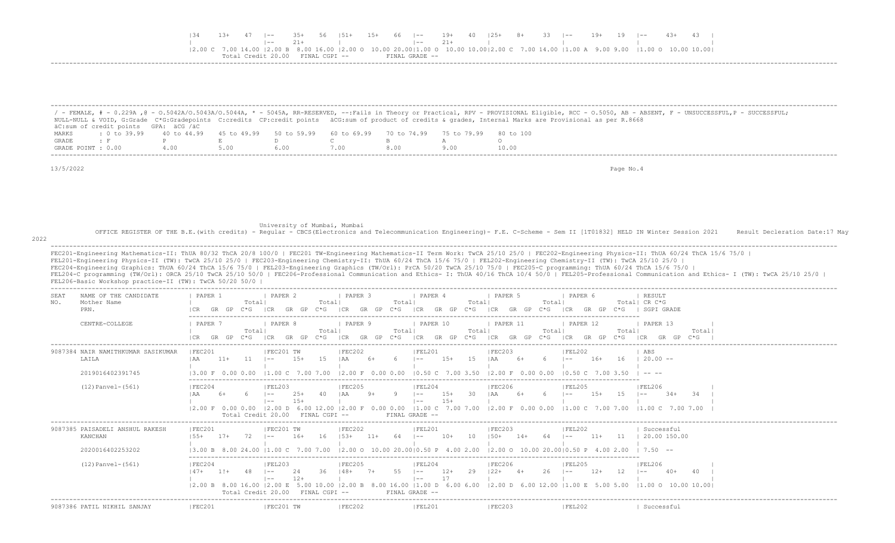|                |                                                                                                                                                                                                                                                                                                                                                           | 134                                   | $1.3+$             | $35+$<br>$\vert - -$<br>$21+$<br>Total Credit 20.00 FINAL CGPI --            | $151+$                                                              | 66<br>$1 - -$<br>$\vert - -$<br>FINAL GRADE -- | $19+$<br>$21+$                                          | 33                               | 19<br>19+                                                                                                                                                                                                                                                                                                                        | 43<br>$(2.00 \text{ C} \quad 7.00 \text{ } 14.00 \text{ }  2.00 \text{ B} \quad 8.00 \text{ } 16.00 \text{ }  2.00 \text{ O} \quad 10.00 \text{ } 20.00  1.00 \text{ O} \quad 10.00 \text{ } 10.00 \text{ } 10.00  2.00 \text{ C} \quad 7.00 \text{ } 14.00 \text{ }  1.00 \text{ A} \quad 9.00 \text{ } 9.00 \text{ }  1.00 \text{ O} \quad 10.00 \text{ } 10.00  1.$                                                                                                                                                                                                                                                      |
|----------------|-----------------------------------------------------------------------------------------------------------------------------------------------------------------------------------------------------------------------------------------------------------------------------------------------------------------------------------------------------------|---------------------------------------|--------------------|------------------------------------------------------------------------------|---------------------------------------------------------------------|------------------------------------------------|---------------------------------------------------------|----------------------------------|----------------------------------------------------------------------------------------------------------------------------------------------------------------------------------------------------------------------------------------------------------------------------------------------------------------------------------|-----------------------------------------------------------------------------------------------------------------------------------------------------------------------------------------------------------------------------------------------------------------------------------------------------------------------------------------------------------------------------------------------------------------------------------------------------------------------------------------------------------------------------------------------------------------------------------------------------------------------------|
| MARKS<br>GRADE | NULL-NULL & VOID, G:Grade C*G:Gradepoints C:credits CP:credit points äCG:sum of product of credits & grades, Internal Marks are Provisional as per R.8668<br>äC:sum of credit points GPA: äCG /äC<br>$: 0 \text{ to } 39.99$ 40 to 44.99<br>$\therefore$ F                                                                                                | P                                     | 45 to 49.99<br>E   | 50 to 59.99<br>$D \qquad \qquad$                                             | 60 to 69.99<br>$\mathbb{C}$                                         | 70 to 74.99<br>$\mathbf{B}$                    | A                                                       | 75 to 79.99 80 to 100<br>$\circ$ |                                                                                                                                                                                                                                                                                                                                  | / - FEMALE, # - 0.229A , @ - 0.5042A/0.5043A/0.5044A, * - 5045A, RR-RESERVED, --:Fails in Theory or Practical, RPV - PROVISIONAL Eligible, RCC - 0.5050, AB - ABSENT, F - UNSUCCESSFUL, P - SUCCESSFUL,                                                                                                                                                                                                                                                                                                                                                                                                                     |
| 13/5/2022      | GRADE POINT : 0.00                                                                                                                                                                                                                                                                                                                                        | 4.00                                  | 5.00               | 6.00                                                                         | 7.00                                                                | 8.00                                           | 9.00                                                    | 10.00                            | Page No.4                                                                                                                                                                                                                                                                                                                        |                                                                                                                                                                                                                                                                                                                                                                                                                                                                                                                                                                                                                             |
|                | FEL201-Engineering Physics-II (TW): TwCA 25/10 25/0   FEC203-Engineering Chemistry-II: ThUA 60/24 ThCA 15/6 75/0   FEL202-Engineering Chemistry-II (TW): TwCA 25/10 25/0  <br>FEC204-Engineering Graphics: ThUA 60/24 ThCA 15/6 75/0   FEL203-Engineering Graphics (TW/Orl): PrCA 50/20 TwCA 25/10 75/0   FEC205-C programming: ThUA 60/24 ThCA 15/6 75/0 |                                       |                    | University of Mumbai, Mumbai                                                 |                                                                     |                                                |                                                         |                                  |                                                                                                                                                                                                                                                                                                                                  | OFFICE REGISTER OF THE B.E. (with credits) - Regular - CBCS (Electronics and Telecommunication Engineering) - F.E. C-Scheme - Sem II [1T01832] HELD IN Winter Session 2021 Result Decleration Date:17 May<br>FEC201-Engineering Mathematics-II: ThUA 80/32 ThCA 20/8 100/0   FEC201 TW-Engineering Mathematics-II Term Work: TwCA 25/10 25/0   FEC202-Engineering Physics-II: ThUA 60/24 ThCA 15/6 75/0  <br>FEL204-C programming (TW/Orl): ORCA 25/10 TwCA 25/10 50/0   FEC206-Professional Communication and Ethics- I: ThUA 40/16 ThCA 10/4 50/0   FEL205-Professional Communication and Ethics- I (TW): TwCA 25/10 25/0 |
| SEAT<br>NO.    | FEL206-Basic Workshop practice-II (TW): TwCA 50/20 50/0  <br>NAME OF THE CANDIDATE<br>Mother Name<br>PRN.                                                                                                                                                                                                                                                 | PAPER 1<br>The Company of the Company | Total              | PAPER 2                                                                      | PAPER 3<br>Total                                                    | Total                                          | PAPER 4<br>Total                                        | PAPER 5<br>Total                 | PAPER 6<br>ICR GR GP C*G ICR GR GP C*G ICR GR GP C*G ICR GR GP C*G ICR GR GP C*G ICR GR GP C*G I SGPIGRADE                                                                                                                                                                                                                       | RESULT<br>Total  CR C*G                                                                                                                                                                                                                                                                                                                                                                                                                                                                                                                                                                                                     |
|                | CENTRE-COLLEGE                                                                                                                                                                                                                                                                                                                                            | PAPER 7                               | Totall             | PAPER 8                                                                      | PAPER 9<br>Total                                                    | Total                                          | PAPER 10<br>Total                                       | PAPER 11<br>Total                | PAPER 12<br>Totall<br> CR GR GP C*G  CR GR GP C*G  CR GR GP C*G  CR GR GP C*G  CR GR GP C*G  CR GR GP C*G  CR GR GP C*G  CR GR GP C*G                                                                                                                                                                                            | PAPER 13<br>Totall                                                                                                                                                                                                                                                                                                                                                                                                                                                                                                                                                                                                          |
|                | 9087384 NAIR NAMITHKUMAR SASIKUMAR<br>LAILA<br>2019016402391745                                                                                                                                                                                                                                                                                           | FEC201                                | $ AA$ 11+ 11 $ --$ | FEC201 TW<br>$15+$                                                           | FEC202<br>$15$ $ AA$<br>6+                                          |                                                | FEL201<br>6 $1--$ 15+ 15 $ AA$ 6+                       | FEC203                           | FEL202<br>$6 \t - - 16 + 16 \t 20.00 - -$<br>$(3.00 \text{ F}$ 0.00 0.00 $(1.00 \text{ C}$ 7.00 7.00 $(2.00 \text{ F}$ 0.00 0.00 $(0.50 \text{ C}$ 7.00 3.50 $(2.00 \text{ F}$ 0.00 0.00 $(0.50 \text{ C}$ 7.00 3.50 $(- -$                                                                                                      | I ABS                                                                                                                                                                                                                                                                                                                                                                                                                                                                                                                                                                                                                       |
|                | $(12)$ Panvel- $(561)$                                                                                                                                                                                                                                                                                                                                    | IFEC204<br>I AA                       | $6 - 1 -$          | IFEL203<br>$25+$<br>$15+$<br>$\vert - -$<br>Total Credit 20.00 FINAL CGPI -- | FEC205<br>$40$ $ AA$<br>$9+$<br>and the contract of the contract of | FINAL GRADE --                                 | FEL204<br>$9 \t - - 15 + 30 \t  AA = 6+$<br>$1 - -$ 15+ | FEC206 <br>and the contract of   | FEL205<br>$6 \t - - 15 + 15 \t - - 34 +$<br>the company of the company<br> 2.00 F 0.00 0.00  2.00 D 6.00 12.00  2.00 F 0.00 0.00  1.00 C 7.00 7.00  2.00 F 0.00 0.00  1.00 C 7.00 7.00  1.00 C 7.00 7.00 7.00                                                                                                                    | FEL206                                                                                                                                                                                                                                                                                                                                                                                                                                                                                                                                                                                                                      |
|                | 9087385 PAISADELI ANSHUL RAKESH<br>KANCHAN<br>2020016402253202                                                                                                                                                                                                                                                                                            | FEC201                                |                    |                                                                              | the control of the con-                                             | the contract of the con-                       |                                                         | the contract of the con-         | FEC201 TW   FEC202   FEL201   FEC203   FEL202   Successful<br> 55+ 17+ 72  -- 16+ 16  53+ 11+ 64  -- 10+ 10  50+ 14+ 64  -- 11+ 11  20.00150.00<br>$\begin{bmatrix} 3.00 \ B & 8.00 \ 24.00 & 11.00 \ C & 7.00 \ 7.00 & 7.00 \end{bmatrix}$ (2.00 0 10.00 20.00 0.50 P 4.00 2.00 0 2.00 0 10.00 20.00 0.50 P 4.00 2.00 0 7.50 -- |                                                                                                                                                                                                                                                                                                                                                                                                                                                                                                                                                                                                                             |
|                | (12) Panvel-(561)                                                                                                                                                                                                                                                                                                                                         | FEC204                                |                    | FEL203<br>Total Credit 20.00 FINAL CGPI -- FINAL GRADE --                    | FEC205                                                              |                                                | FEL204                                                  | FEC206                           | FEL205                                                                                                                                                                                                                                                                                                                           | FEL206<br>  47+ 1!+ 48   -- 24 36   48+ 7+ 55   -- 12+ 29   22+ 4+ 26   -- 12+ 12   -- 40+ 40  <br>the contract of the contract of the contract of the contract of<br> 2.00 B 8.00 16.00  2.00 E 5.00 10.00  2.00 B 8.00 16.00  1.00 D 6.00 6.00  2.00 D 6.00 12.00  1.00 E 5.00 5.00  1.00 O 10.00 10.00                                                                                                                                                                                                                                                                                                                   |
|                | 9087386 PATIL NIKHIL SANJAY                                                                                                                                                                                                                                                                                                                               |                                       |                    |                                                                              |                                                                     | FEL201                                         | FEC203                                                  |                                  | IFEL202                                                                                                                                                                                                                                                                                                                          | Successful                                                                                                                                                                                                                                                                                                                                                                                                                                                                                                                                                                                                                  |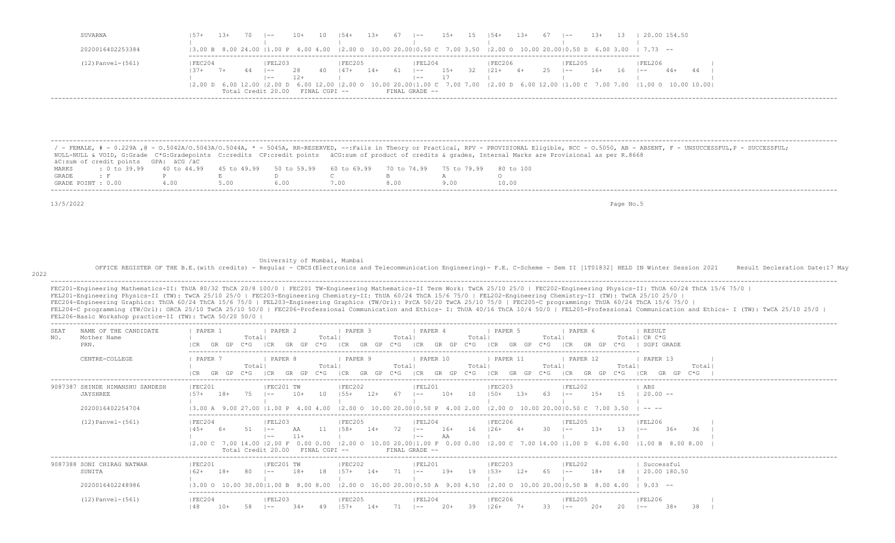|                   |          |    |    | $70 - 1 - -$                     | 10+   | $10 \t  54+$ |         | $13+ 67$ $1--$ |                  |                                                                                                                                                        | 15+ 15   54+ |          | 13+  | 67 . | $1 - -$ | 13+ |    |         | 154.50 |  |
|-------------------|----------|----|----|----------------------------------|-------|--------------|---------|----------------|------------------|--------------------------------------------------------------------------------------------------------------------------------------------------------|--------------|----------|------|------|---------|-----|----|---------|--------|--|
|                   |          |    |    |                                  |       |              |         |                |                  | $(3.00 B 8.00 24.00 11.00 P 4.00 4.00 2.00 0 10.00 20.00   0.50 C 7.00 3.50 2.00 0 10.00 20.00   0.50 D 6.00 3.00 7.73 --$                             |              |          |      |      |         |     |    |         |        |  |
| (12) Panvel-(561) | IFEC204  |    |    | <b>IFEL203</b>                   |       |              | IFEC205 |                |                  | FEL204                                                                                                                                                 |              | FEC206   |      |      | FEL205  |     |    | FEL206  |        |  |
|                   | $1.37 +$ | 7+ | 44 | $-$<br>$- -$                     | $12+$ | 40   47+     |         | 14+            | $\sim$ 61 $\sim$ | $ -$<br>17<br>l —— 1                                                                                                                                   | $15+$        | 32   21+ | $4+$ | 25   | $- -$   | 16+ | 16 | $1 - -$ | $44+$  |  |
|                   |          |    |    | Total Credit 20.00 FINAL CGPI -- |       |              |         |                |                  | 12.00 D 6.00 12.00 12.00 D 6.00 12.00 12.00 O 10.00 20.0011.00 C 7.00 7.00 12.00 D 6.00 12.00 11.00 C 7.00 7.00 11.00 O 10.00 10.001<br>FINAL GRADE -- |              |          |      |      |         |     |    |         |        |  |

|                    |                                      |                                                                                                |      |  |  | ' - FEMALE, # - 0.229A ,@ - 0.5042A/0.5043A/0.5044A, * - 5045A, RR-RESERVED, --:Fails in Theory or Practical, RPV - PROVISIONAL Eligible, RCC - 0.5050, AB - ABSENT, F - UNSUCCESSFUL,P - SUCCESSFUL; |
|--------------------|--------------------------------------|------------------------------------------------------------------------------------------------|------|--|--|-------------------------------------------------------------------------------------------------------------------------------------------------------------------------------------------------------|
|                    |                                      |                                                                                                |      |  |  | NULL-NULL & VOID, G:Grade C*G:Gradepoints C:credits CP:credit points äCG:sum of product of credits & qrades, Internal Marks are Provisional as per R.8668                                             |
|                    | äC:sum of credit points GPA: äCG /äC |                                                                                                |      |  |  |                                                                                                                                                                                                       |
| MARKS              |                                      | t 0 to 39,99 40 to 44,99 45 to 49,99 50 to 59,99 60 to 69,99 70 to 74,99 75 to 79,99 80 to 100 |      |  |  |                                                                                                                                                                                                       |
| GRADE              |                                      |                                                                                                |      |  |  |                                                                                                                                                                                                       |
| GRADE POINT : 0.00 |                                      |                                                                                                | 5.00 |  |  |                                                                                                                                                                                                       |

13/5/2022 Page No.5

University of Mumbai, Mumbai

OFFICE REGISTER OF THE B.E.(with credits) - Regular - CBCS(Electronics and Telecommunication Engineering)- F.E. C-Scheme - Sem II [1T01832] HELD IN Winter Session 2021 Result Decleration Date:17 May

### 2022

FEC201-Engineering Mathematics-II: ThUA 80/32 ThCA 20/8 100/0 | FEC201 TW-Engineering Mathematics-II Term Work: TwCA 25/10 25/0 | FEC202-Engineering Physics-II: ThUA 60/24 ThCA 15/6 75/0 | FEL201-Engineering Physics-II (TW): TwCA 25/10 25/0 | FEC203-Engineering Chemistry-II: ThUA 60/24 ThCA 15/6 75/0 | FEL202-Engineering Chemistry-II (TW): TwCA 25/10 25/0 | FEC204-Engineering Graphics: ThUA 60/24 ThCA 15/6 75/0 | FEL203-Engineering Graphics (TW/Orl): PrCA 50/20 TwCA 25/10 75/0 | FEC205-C programming: ThUA 60/24 ThCA 15/6 75/0 |<br>FEL204-C programming (TW/Orl): ORCA 25/10 TwCA 2 FEL206-Basic Workshop practice-II (TW): TwCA 50/20 50/0 |

| NAME OF THE CANDIDATE<br>SEAT<br>NO.<br>Mother Name<br>PRN.     | PAPER 2<br>PAPER 1<br>PAPER 3<br>PAPER 4<br>PAPER 5<br>PAPER 6<br>RESULT<br>CR C*G<br>Total<br>Total<br>Total<br>Totall<br>Total<br>Total <br>SGPT GRADE                                                                                                                                                                                                                                           |
|-----------------------------------------------------------------|----------------------------------------------------------------------------------------------------------------------------------------------------------------------------------------------------------------------------------------------------------------------------------------------------------------------------------------------------------------------------------------------------|
| CENTRE-COLLEGE                                                  | PAPER <sub>7</sub><br>PAPER 8<br>PAPER 9<br>PAPER 10<br>PAPER 11<br>PAPER 12<br>PAPER 13<br>Total<br>Total<br>Total<br>Total<br>Total<br>Total<br>Total<br>ን* G<br>`* ና<br>C*G.<br>ነ* ና<br>`* ና<br>ነ* (⊋<br>GR.                                                                                                                                                                                    |
| 9087387 SHINDE HIMANSHU SANDESH<br>JAYSHREE<br>2020016402254704 | FEC202<br> FEC203<br> FEC201<br> FEL201<br> FEL202<br>FEC201 TW<br>ABS<br>$20.00 - -$<br>$10+$<br>$15+$<br>$1.3+$<br>15<br>10<br>$1.57+$<br>18+<br>$10+$<br>10<br>$1.50+$<br>$- -$<br>l ——<br>$- -$<br>$.55+$<br>$10.0020.0010.50P$ 4.00 2.00<br>4 0 0<br>$12.00 \Omega$<br>10 00<br>13.00 A<br>$12.00 \Omega$<br>900<br>4 0 0                                                                     |
| $(12)$ Panvel- $(561)$                                          | <b>FEC205</b><br> FEC206<br>IFEL205<br><b>FEL206</b><br> FEC204<br> FEL203<br> FEL204<br>$16+$<br>$1.3+$<br>$36+$<br>36<br>AA<br>13<br>- 58+<br>l ——<br>$- -$<br>145+<br>$- -$<br>$14+$<br>$- -$<br>AA<br>$- -$<br>$- -$<br>0.0000.00<br>.00 F<br>$ 2,00 \text{ C}$ 7.00 14.00 $ 1,00 \text{ D}$ 6.00 6.00<br>11.00 B 8.00 8.00<br>12.00C<br>FINAL GRADE --<br>FINAL CGPI --<br>Total Credit 20.00 |
| 9087388 SONI CHIRAG NATWAR<br>SUNITA                            | IFEC202<br>IFEL201<br>IFEC201<br>IFEC201 TW<br>IFEC203<br> FEL202<br>Successful<br>$19+$<br>20.00 180.50<br>18+<br>162+<br>$- -$<br>$- -$<br>$- -$                                                                                                                                                                                                                                                 |
| 2020016402248986<br>$(12)$ Panvel- $(561)$                      | $.0010.50 A$ 9.00 4.50<br>$12.00 \Omega$ 10.00 20<br>12 N N N<br>10.00<br>$903 - -$<br>-800<br> FEC204<br>IFEL203<br><b>IFEC205</b><br>IFEL204<br><b>IFEC206</b><br><b>IFEL206</b><br>IFEL205                                                                                                                                                                                                      |
|                                                                 | $38+$<br>$10+$<br>38<br>148<br>$- -$<br>$- -$<br>$- -$<br>$- -$                                                                                                                                                                                                                                                                                                                                    |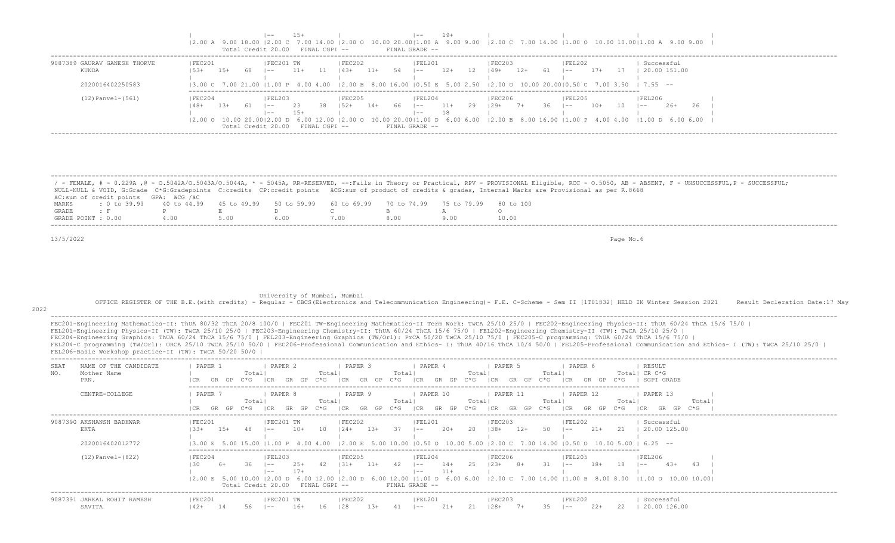### | |-- 15+ | |-- 19+ | | | | |2.00 A 9.00 18.00 |2.00 C 7.00 14.00 |2.00 O 10.00 20.00|1.00 A 9.00 9.00 |2.00 C 7.00 14.00 |1.00 O 10.00 10.00|1.00 A 9.00 9.00 | Total Credit 20.00 FINAL CGPI --

| 9087389 GAURAV GANESH THORVE | FEC201  |     |                    | FEC201 TW |       |               | IFEC202 |       |     | IFEL201                                                                                                                                                                                             |       |      | IFEC203 |      |      | IFEL202 |       | Successful   |       |    |  |
|------------------------------|---------|-----|--------------------|-----------|-------|---------------|---------|-------|-----|-----------------------------------------------------------------------------------------------------------------------------------------------------------------------------------------------------|-------|------|---------|------|------|---------|-------|--------------|-------|----|--|
| KUNDA                        | 153+    | 15+ | 68                 | $- -$     | $11+$ | 11            | 43+     | $11+$ | .54 | $\sim$                                                                                                                                                                                              | $12+$ | - 12 | $149+$  | -12+ |      | $- -$   | $17+$ | 20.00 151.00 |       |    |  |
|                              |         |     |                    |           |       |               |         |       |     |                                                                                                                                                                                                     |       |      |         |      |      |         |       |              |       |    |  |
| 2020016402250583             |         |     |                    |           |       |               |         |       |     |                                                                                                                                                                                                     |       |      |         |      |      |         |       |              |       |    |  |
|                              |         |     |                    |           |       |               |         |       |     |                                                                                                                                                                                                     |       |      |         |      |      |         |       |              |       |    |  |
| $(12)$ Panvel- $(561)$       | IFEC204 |     |                    | IFEL203   |       |               | IFEC205 |       |     | IFEL204                                                                                                                                                                                             |       |      | IFEC206 |      |      | FEL205  |       | IFEL206      |       |    |  |
|                              | 48+     | 13+ |                    | $- -$     |       | 38.           | $.52+$  | $14+$ | 66  | $- -$                                                                                                                                                                                               | $11+$ | -29  | $129+$  | $7+$ | 36 F | $- -$   | $10+$ | $- -$        | $26+$ | 26 |  |
|                              |         |     |                    | $- -$     | $15+$ |               |         |       |     | $- -$                                                                                                                                                                                               | 18    |      |         |      |      |         |       |              |       |    |  |
|                              |         |     |                    |           |       |               |         |       |     | $(2.00 \t{0} 10.00 \t{2} 0.00   2.00 \t{0} 6.00 \t{12.00}   2.00 \t{0} 10.00 \t{20.00}   1.00 \t{0} 5.00 \t{6.00}   2.00 \t{B} 8.00 \t{16.00}   1.00 \t{P} 4.00 \t{4.00} 11.00 \t{D} 6.00 \t{6.00}$ |       |      |         |      |      |         |       |              |       |    |  |
|                              |         |     | Total Credit 20.00 |           |       | FINAL CGPI -- |         |       |     | FINAL GRADE --                                                                                                                                                                                      |       |      |         |      |      |         |       |              |       |    |  |
|                              |         |     |                    |           |       |               |         |       |     |                                                                                                                                                                                                     |       |      |         |      |      |         |       |              |       |    |  |

 ------------------------------------------------------------------------------------------------------------------------------------------------------------------------------------------------------------------- / - FEMALE, # - 0.229A ,@ - O.5042A/O.5043A/O.5044A, \* - 5045A, RR-RESERVED, --:Fails in Theory or Practical, RPV - PROVISIONAL Eligible, RCC - O.5050, AB - ABSENT, F - UNSUCCESSFUL,P - SUCCESSFUL; NULL-NULL & VOID, G:Grade C\*G:Gradepoints C:credits CP:credit points äCG:sum of product of credits & grades, Internal Marks are Provisional as per R.8668 äC:sum of credit points GPA: äCG /äC MARKS : 0 to 39.99 40 to 44.99 45 to 49.99 50 to 59.99 60 to 69.99 70 to 74.99 75 to 79.99 80 to 100<br>GRADE: F P E D C B A O F P E D C B A O<br>INT: 0.00 4.00 5.00 6.00 7.00 8.00 9.00 10.00 GRADE POINT : 0.00

-------------------------------------------------------------------------------------------------------------------------------------------------------------------------------------------------------------------

13/5/2022 Page No.6

# University of Mumbai, Mumbai

OFFICE REGISTER OF THE B.E.(with credits) - Regular - CBCS(Electronics and Telecommunication Engineering)- F.E. C-Scheme - Sem II [1T01832] HELD IN Winter Session 2021 Result Decleration Date:17 May

2022

FEC201-Engineering Mathematics-II: ThUA 80/32 ThCA 20/8 100/0 | FEC201 TW-Engineering Mathematics-II Term Work: TwCA 25/10 25/0 | FEC202-Engineering Physics-II: ThUA 60/24 ThCA 15/6 75/0 | FEL201-Engineering Physics-II (TW): TwCA 25/10 25/0 | FEC203-Engineering Chemistry-II: ThUA 60/24 ThCA 15/6 75/0 | FEL202-Engineering Chemistry-II (TW): TwCA 25/10 25/0 | FEC204-Engineering Graphics: ThUA 60/24 ThCA 15/6 75/0 | FEL203-Engineering Graphics (TW/Orl): PrCA 50/20 TwCA 25/10 75/0 | FEC205-C programming: ThUA 60/24 ThCA 15/6 75/0 | FEL204-C programming (TW/Orl): ORCA 25/10 TwCA 25/10 50/0 | FEC206-Professional Communication and Ethics- I: ThUA 40/16 ThCA 10/4 50/0 | FEL205-Professional Communication and Ethics- I (TW): TwCA 25/10 25/0 | FEL206-Basic Workshop practice-II (TW): TwCA 50/20 50/0 | -------------------------------------------------------------------------------------------------------------------------------------------------------------------------------------------------------------------

| NAME OF THE CANDIDATE<br>SEA.<br>NO.<br>Mother Name<br>PRN. | PAPER 2<br>PAPER 3<br>PAPER 5<br>PAPER<br>PAPER 4<br>PAPER 6<br>RESULT<br>Total  CR C*G<br>Totall<br>Totall<br>Total<br>Totall<br>Total<br>SGPI GRADE                                                                                                                                                                                                                                                                                                                                                                                                                                         |
|-------------------------------------------------------------|-----------------------------------------------------------------------------------------------------------------------------------------------------------------------------------------------------------------------------------------------------------------------------------------------------------------------------------------------------------------------------------------------------------------------------------------------------------------------------------------------------------------------------------------------------------------------------------------------|
| CENTRE-COLLEGE                                              | PAPER 7<br>PAPER 8<br>PAPER 9<br>PAPER 10<br>PAPER 11<br>PAPER 13<br>PAPER 12<br>Totall<br>Total<br>Totall<br>Totall<br>Total<br>Total<br>Total<br>$C*G$<br>`*G<br>ን* ና<br>ገ∗ር<br>GR<br>GP.<br>I CE<br>1 C.R<br>GR<br>GR                                                                                                                                                                                                                                                                                                                                                                      |
| 9087390 AKSHANSH BADHWAR<br>EKTA<br>2020016402012772        | FEC201<br>FEC201 TW<br> FEC202<br> FEC203 <br> FEL201<br> FEL202<br>Successful<br>$2.0+$<br>20<br>$1.38 +$<br>$12+$<br>$21+$<br>20.00 125.00<br>$15+$<br>10<br>$1.3+$<br>21<br>124+<br>$-3.3+$<br>$10+$<br>$- -$<br>$- -$<br>$(3.00 \t{E} 5.00 \t{15.00} 11.00 \t{P} 4.00 \t{4.00} 2.00 \t{E} 5.00 \t{10.00} 0.50 \t{O} 10.00 \t{5.00} 12.00 \t{C} 7.00 \t{14.00} 0.50 \t{O} 10.00 \t{5.00} 6.25 --$                                                                                                                                                                                          |
| $(12)$ Panvel- $(822)$                                      | <b>FEC206</b><br> FEC204<br> FEL203<br> FEC205<br>IFEL204<br>IFEL205<br> FEL206<br>$14+$<br>-25<br>31<br>$4.3+$<br>$1.31 +$<br>$11+$<br>123+<br>$8+$<br>$18+$<br>$2.5+$<br>43<br>-18<br>36.<br>$- -$<br><u>.</u><br>$- -$<br>$- -$<br>$11+$<br>$17+$<br>$- -$<br>l ——<br>$(2.00 \t{E} \t{5.00} \t{10.00} \t{2.00} \t{D} \t{6.00} \t{12.00} \t{2.00} \t{D} \t{6.00} \t{12.00} \t{1.00} \t{D} \t{6.00} \t{6.00} \t{2.00} \t{2.00} \t{C} \t{7.00} \t{14.00} \t{11.00} \t{B} \t{8.00} \t{8.00} \t{11.00} \t{0} \t{10.00} \t{10.00} \t{1$<br>Total Credit 20.00<br>FINAL CGPI --<br>FINAL GRADE -- |
| 9087391 JARKAL ROHIT RAMESH<br>SAVITA                       | FEC201<br> FEC201 TW<br> FEC202<br> FEL201<br> FEC203<br> FEL202<br>Successful<br>$21+$<br>20.00 126.00<br>$142+$<br>22<br>128+<br>35.<br>16+<br>128.<br>13+<br>14<br>$- -$<br>$- -$<br>16.<br><u>.</u>                                                                                                                                                                                                                                                                                                                                                                                       |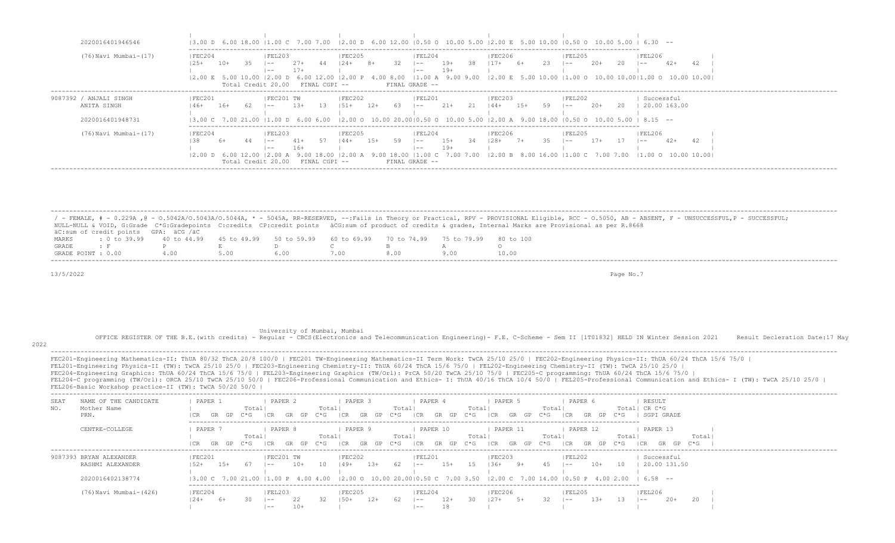| 2020016401946546                                          |                                                        | $(3.00 \text{ D } 6.00 \text{ 18.00 }  1.00 \text{ C } 7.00 \text{ } 7.00 \text{ }  2.00 \text{ D } 6.00 \text{ 12.00 }  0.50 \text{ O } 10.00 \text{ 5.00 }  2.00 \text{ E } 5.00 \text{ 10.00 }  0.50 \text{ O } 10.00 \text{ 5.00 }  6.30 \text{ } -5.00 \text{ 5.00 }  0.00 \text{ }  0.00 \text{ } 5.00 \text{ }  0.00 \text{ } 5.00 \text{$ |                                   |                                                                               |                                  |                                                                                                                             |                                                                                                                              |
|-----------------------------------------------------------|--------------------------------------------------------|---------------------------------------------------------------------------------------------------------------------------------------------------------------------------------------------------------------------------------------------------------------------------------------------------------------------------------------------------|-----------------------------------|-------------------------------------------------------------------------------|----------------------------------|-----------------------------------------------------------------------------------------------------------------------------|------------------------------------------------------------------------------------------------------------------------------|
| (76) Navi Mumbai-(17)                                     | FEC204<br>$10+$<br>35<br>12.00 E<br>Total Credit 20.00 | FEL203<br>44<br>$27+$<br>$- -$<br>$17+$<br>$- -$<br>FINAL CGPI --                                                                                                                                                                                                                                                                                 | FEC205<br>-32<br>$124+$<br>$8+$   | FEL204<br>- 38<br>$19+$<br>$- -$<br>$19+$<br>$- -$<br>.00 A<br>FINAL GRADE -- | FEC206 <br>$117+$<br>23<br>- 6+  | FEL205<br>$20+$<br>20<br>$- -$                                                                                              | FEL206<br>$42+$<br>42<br>$- -$<br>$9.00$ $9.00$ $ 2.00$ E $5.00$ $10.00$ $ 1.00$ O $10.00$ $10.00$ $ 1.00$ O $10.00$ $ 1.00$ |
| 9087392 / ANJALI SINGH<br>ANITA SINGH<br>2020016401948731 | FEC201<br>$16+$<br>$146+$                              | FEC201 TW<br>$1.3+$<br>$1 - -$<br>13.00 C 7.00 21.00 11.00 D 6.00 6.00 12.00 O 10.00 20.0010.50 O 10.00 5.00 12.00 A 9.00 18.00 10.50 O 10.00                                                                                                                                                                                                     | FEC202<br>$12+$<br>- 63<br>$151+$ | FEL201<br>$21+$<br>21<br>$\sim$                                               | FEC203<br>$144+$<br>$15+$<br>59. | FEL202<br>$2.0+$<br>20<br>$1 - -$                                                                                           | Successful<br>20.00 163.00<br>8 15 --                                                                                        |
| (76) Navi Mumbai- (17)                                    | IFEC204<br>12.00 D 6.00 12.00                          | IFEL203<br>57<br>$41+$<br>$- -$<br>$16+$<br>$- -$<br>9.00 18.00 12.00 A<br>12.00 A<br>Total Credit 20.00 FINAL CGPI --                                                                                                                                                                                                                            | IFEC205<br>$144+$<br>$1.5+$<br>59 | IFEL204<br>$1.5 +$<br>- 34<br>$1 - -$<br>$19+$<br>$- -$<br>FINAL GRADE --     | IFEC206<br>$128 + 7 +$<br>-35    | IFEL205<br>$17+$<br>-17<br>$1 - -$<br>9.00 18.00 11.00 C 7.00 7.00 12.00 B 8.00 16.00 11.00 C 7.00 7.00 11.00 O 10.00 10.00 | IFEL206<br>42<br>$42+$<br>$1 - -$                                                                                            |

 ------------------------------------------------------------------------------------------------------------------------------------------------------------------------------------------------------------------- / - FEMALE, # - 0.229A , @ - 0.5042A/O.5043A/O.5044A, \* - 5045A, RR-RESERVED, --:Fails in Theory or Practical, RPV - PROVISIONAL Eligible, RCC - 0.5050, AB - ABSENT, F - UNSUCCESSFUL, P - SUCCESSFUL; NULL-NULL & VOID, G:Grade C\*G:Gradepoints C:credits CP:credit points äCG:sum of product of credits & grades, Internal Marks are Provisional as per R.8668 äC:sum of credit points GPA: äCG /äC MARKS : 0 to 39.99 40 to 44.99 45 to 49.99 50 to 59.99 60 to 69.99 70 to 74.99 75 to 79.99 80 to 100<br>GRADE : F P E D C B A O GRADE : F P E D C B A O GRADE POINT : 0.00 4.00 5.00 6.00 7.00 8.00 9.00 10.00

 $13/5/2022$  Page No.7

University of Mumbai, Mumbai

-------------------------------------------------------------------------------------------------------------------------------------------------------------------------------------------------------------------

OFFICE REGISTER OF THE B.E.(with credits) - Regular - CBCS(Electronics and Telecommunication Engineering)- F.E. C-Scheme - Sem II [1T01832] HELD IN Winter Session 2021 Result Decleration Date:17 May

# 2022

 ------------------------------------------------------------------------------------------------------------------------------------------------------------------------------------------------------------------- FEC201-Engineering Mathematics-II: ThUA 80/32 ThCA 20/8 100/0 | FEC201 TW-Engineering Mathematics-II Term Work: TwCA 25/10 25/0 | FEC202-Engineering Physics-II: ThUA 60/24 ThCA 15/6 75/0 | FEL201-Engineering Physics-II (TW): TwCA 25/10 25/0 | FEC203-Engineering Chemistry-II: ThUA 60/24 ThCA 15/6 75/0 | FEL202-Engineering Chemistry-II (TW): TwCA 25/10 25/0 | FEC204-Engineering Graphics: ThUA 60/24 ThCA 15/6 75/0 | FEL203-Engineering Graphics (TW/Orl): PrCA 50/20 TwCA 25/10 75/0 | FEC205-C programming: ThUA 60/24 ThCA 15/6 75/0 | FEL204-C programming (TW/Orl): ORCA 25/10 TwCA 25/10 50/0 | FEC206-Professional Communication and Ethics- I: ThUA 40/16 ThCA 10/4 50/0 | FEL205-Professional Communication and Ethics- I (TW): TwCA 25/10 25/0 | FEL206-Basic Workshop practice-II (TW): TwCA 50/20 50/0 | ------------------------------------------------------------------------------------------------------------------------------------------------------------------------------------------------------------------- SEAT NAME OF THE CANDIDATE<br>NO. Mother Name NO. Mother Name | Total| Total| Total| Total| Total| Total| CR C\*G PRN. |CR GR GP C\*G |CR GR GP C\*G |CR GR GP C\*G |CR GR GP C\*G |CR GR GP C\*G |CR GR GP C\*G | SGPI GRADE ------------------------------------------------------------------------------------------------------------------------- CENTRE-COLLEGE | PAPER 7 | PAPER 8 | PAPER 9 | PAPER 10 | PAPER 11 | PAPER 12 | PAPER 13 | | Total| Total| Total| Total| Total| Total| Total| |CR GR GP C\*G |CR GR GP C\*G |CR GR GP C\*G |CR GR GP C\*G |CR GR GP C\*G |CR GR GP C\*G |CR GR GP C\*G |

| 9087393 BRYAN ALEXANDER | FEC201  |     | IFEC201 TW |       |     | IFEC202 |     |    | FEL201                                                                                                                                                                                                                                                                                                                                                 |     |     | <b>FEC203</b> |      |     | IFEL202       |     |    | Successful |              |    |  |  |  |
|-------------------------|---------|-----|------------|-------|-----|---------|-----|----|--------------------------------------------------------------------------------------------------------------------------------------------------------------------------------------------------------------------------------------------------------------------------------------------------------------------------------------------------------|-----|-----|---------------|------|-----|---------------|-----|----|------------|--------------|----|--|--|--|
| RASHMI ALEXANDER        | 52+     | 15+ | $1 - -$    | $10+$ | 10. | $49+$   | 13+ | 62 | l ——                                                                                                                                                                                                                                                                                                                                                   | 15+ | 15  | 36+           | $9+$ |     | $1 - -$       | 10+ | 10 |            | 20.00 131.50 |    |  |  |  |
|                         |         |     |            |       |     |         |     |    |                                                                                                                                                                                                                                                                                                                                                        |     |     |               |      |     |               |     |    |            |              |    |  |  |  |
| 2020016402138774        |         |     |            |       |     |         |     |    | $(3.00 \text{ C } 7.00 \text{ 21.00 } 11.00 \text{ P } 4.00 \text{ } 4.00 \text{ } 4.00 \text{ } 12.00 \text{ O } 10.00 \text{ } 20.00 \text{ } 10.50 \text{ C } 7.00 \text{ } 3.50 \text{ }  2.00 \text{ C } 7.00 \text{ } 14.00 \text{ }  0.50 \text{ P } 4.00 \text{ } 2.00 \text{ }  6.58 \text{ } -5.00 \text{ } 10.00 \text{ } 10.00 \text{ } 1$ |     |     |               |      |     |               |     |    |            |              |    |  |  |  |
|                         |         |     |            |       |     |         |     |    |                                                                                                                                                                                                                                                                                                                                                        |     |     |               |      |     |               |     |    |            |              |    |  |  |  |
| (76) Navi Mumbai- (426) | FEC204  |     | FEL203     |       |     | FEC205  |     |    | FEL204                                                                                                                                                                                                                                                                                                                                                 |     |     | FEC206        |      |     | <b>FEL205</b> |     |    | FEL206     |              |    |  |  |  |
|                         | $124 +$ | 6+  | $1 - -$    |       |     | $.50+$  | 12+ | 62 | i ——                                                                                                                                                                                                                                                                                                                                                   | 12+ | 30. | $127+$        | 5+   | -32 | $- -$         | ⊥3+ |    | $- -$      | $20+$        | 20 |  |  |  |
|                         |         |     | $- -$      |       |     |         |     |    | $- -$                                                                                                                                                                                                                                                                                                                                                  |     |     |               |      |     |               |     |    |            |              |    |  |  |  |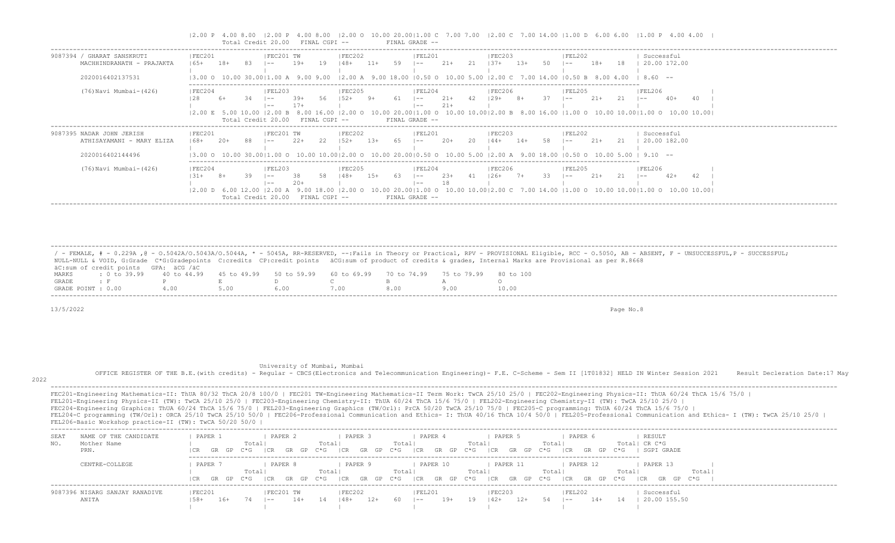|2.00 P 4.00 8.00 |2.00 P 4.00 8.00 |2.00 O 10.00 20.00|1.00 C 7.00 7.00 |2.00 C 7.00 14.00 |1.00 D 6.00 6.00 |1.00 P 4.00 4.00 | Total Credit 20.00 FINAL CGPI -- FINAL GRADE -- ------------------------------------------------------------------------------------------------------------------------------------------------------------------------------------------------------------------- 9087394 / GHARAT SANSKRUTI | FEC201 | FEC201 TW | FEC202 | FEL201 | FEC203 | FEL202 | Successful MACHHINDRANATH - PRAJAKTA |65+ 18+ 83 |-- 19+ 19 |48+ 11+ 59 |-- 21+ 21 |37+ 13+ 50 |-- 18+ 18 | 20.00 172.00 | | | | | | | 2020016402137531 |3.00 O 10.00 30.00|1.00 A 9.00 9.00 |2.00 A 9.00 18.00 |0.50 O 10.00 5.00 |2.00 C 7.00 14.00 |0.50 B 8.00 4.00 | 8.60 -- ------------------------------------------------------------------------------------------------------------------------- (76)Navi Mumbai-(426) |FEC204 |FEL203 |FEC205 |FEL204 |FEC206 |FEL205 |FEL206 | |28 6+ 34 |-- 39+ 56 |52+ 9+ 61 |-- 21+ 42 |29+ 8+ 37 |-- 21+ 21 |-- 40+ 40 | | |-- 17+ | |-- 21+ | | | | |2.00 E 5.00 10.00 |2.00 B 8.00 16.00 |2.00 O 10.00 20.00|1.00 O 10.00 10.00|2.00 B 8.00 16.00 |1.00 O 10.00 10.00|1.00 O 10.00 10.00| Total Credit 20.00 FINAL CGPI -- FINAL GRADE -- ------------------------------------------------------------------------------------------------------------------------------------------------------------------------------------------------------------------- 9087395 NADAR JOHN JERISH |FEC201 |FEC201 TW |FEC202 |FEL201 |FEC203 |FEL202 | Successful ATHISAYAMANI - MARY ELIZA |68+ 20+ 88 |-- 22+ 22 |52+ 13+ 65 |-- 20+ 20 |44+ 14+ 58 |-- 21+ 21 | 20.00 182.00 | | | | | | | 2020016402144496 |3.00 O 10.00 30.00|1.00 O 10.00 10.00|2.00 O 10.00 20.00|0.50 O 10.00 5.00 |2.00 A 9.00 18.00 |0.50 O 10.00 5.00 | 9.10 -- ------------------------------------------------------------------------------------------------------------------------- (76)Navi Mumbai-(426) |FEC204 |FEL203 |FEC205 |FEL204 |FEC206 |FEL205 |FEL206 | |31+ 8+ 39 |-- 38 58 |48+ 15+ 63 |-- 23+ 41 |26+ 7+ 33 |-- 21+ 21 |-- 42+ 42 | | |-- 20+ | |-- 18 | | | | |2.00 D 6.00 12.00 |2.00 A 9.00 18.00 |2.00 O 10.00 20.00|1.00 O 10.00 10.00|2.00 C 7.00 14.00 |1.00 O 10.00 10.00|1.00 O 10.00 10.00| Total Credit 20.00 FINAL CGPI -- FINAL GRADE --

 / - FEMALE, # - 0.229A ,@ - O.5042A/O.5043A/O.5044A, \* - 5045A, RR-RESERVED, --:Fails in Theory or Practical, RPV - PROVISIONAL Eligible, RCC - O.5050, AB - ABSENT, F - UNSUCCESSFUL,P - SUCCESSFUL; NULL-NULL & VOID, G:Grade C\*G:Gradepoints C:credits CP:credit points äCG:sum of product of credits & grades, Internal Marks are Provisional as per R.8668 äC:sum of credit points GPA: äCG /äC MARKS : 0 to 39.99 40 to 44.99 45 to 49.99 50 to 59.99 60 to 69.99 70 to 74.99 75 to 79.99 80 to 100<br>GRADE : F P E D C B A GRADE : F P E D C B A O GRADE POINT : 0.00 4.00 5.00 6.00 7.00 8.00 9.00 10.00 -------------------------------------------------------------------------------------------------------------------------------------------------------------------------------------------------------------------

-------------------------------------------------------------------------------------------------------------------------------------------------------------------------------------------------------------------

13/5/2022 Page No.8

#### University of Mumbai, Mumbai

OFFICE REGISTER OF THE B.E.(with credits) - Regular - CBCS(Electronics and Telecommunication Engineering)- F.E. C-Scheme - Sem II [1T01832] HELD IN Winter Session 2021 Result Decleration Date:17 May

2022 -------------------------------------------------------------------------------------------------------------------------------------------------------------------------------------------------------------------

FEC201-Engineering Mathematics-II: ThUA 80/32 ThCA 20/8 100/0 | FEC201 TW-Engineering Mathematics-II Term Work: TwCA 25/10 25/0 | FEC202-Engineering Physics-II: ThUA 60/24 ThCA 15/6 75/0 | FEL201-Engineering Physics-II (TW): TwCA 25/10 25/0 | FEC203-Engineering Chemistry-II: ThUA 60/24 ThCA 15/6 75/0 | FEL202-Engineering Chemistry-II (TW): TwCA 25/10 25/0 | FEC204-Engineering Graphics: ThUA 60/24 ThCA 15/6 75/0 | FEL203-Engineering Graphics (TW/Orl): PrCA 50/20 TwCA 25/10 75/0 | FEC205-C programming: ThUA 60/24 ThCA 15/6 75/0 | FEL204-C programming (TW/Orl): ORCA 25/10 TwCA 25/10 50/0 | FEC206-Professional Communication and Ethics- I: ThUA 40/16 ThCA 10/4 50/0 | FEL205-Professional Communication and Ethics- I (TW): TwCA 25/10 25/0 | FEL206-Basic Workshop practice-II (TW): TwCA 50/20 50/0 | ------------------------------------------------------------------------------------------------------------------------------------------------------------------------------------------------------------------- SEAT NAME�OF\_THE\_CANDIDATE | PAPER\_1 | PAPER\_2 | PAPER\_3 | PAPER\_4 | PAPER\_5 | PAPER\_6 | RESULT<br>NO. Mother\_Name | Total| Total| Total| Total| Total| Total| CR\_C\*G

| Mother Name<br>PRN.                     |                 | ľotai                               |                             | Total<br>rotal'               | Totall<br>$ CR$ GR GP C*G $ CR$ GR GP C*G $ CR$ GR GP C*G $ CR$ GR GP C*G $ CR$ GR GP C*G $ CR$ GR GP C*G $ $          | SGPI GRADE                          |       |
|-----------------------------------------|-----------------|-------------------------------------|-----------------------------|-------------------------------|------------------------------------------------------------------------------------------------------------------------|-------------------------------------|-------|
| CENTRE-COLLEGE                          | PAPER           | PAPER 8                             | PAPER 9                     | PAPER 10                      | PAPER 11<br>PAPER 12                                                                                                   | PAPER 13                            |       |
|                                         |                 | Totall                              | Totall                      | Totall<br>Totall              | Total <br> CR GR GP C*G  CR GR GP C*G  CR GR GP C*G  CR GR GP C*G  CR GR GP C*G  CR GR GP C*G  CR GP C*G  CR GR GP C*G | Totall                              | Total |
| 9087396 NISARG SANJAY RANADIVE<br>ANITA | FEC201<br>- 58+ | FEC201 TW<br>$16+74$ $1--$<br>$14+$ | FEC202<br>148+<br>12+<br>14 | IFEL201<br>$60 \t - -$<br>19+ | FEC203<br><b>IFEL202</b><br>$142+$<br>12+<br>54 –                                                                      | Successful<br>20.00 155.50<br>$14+$ |       |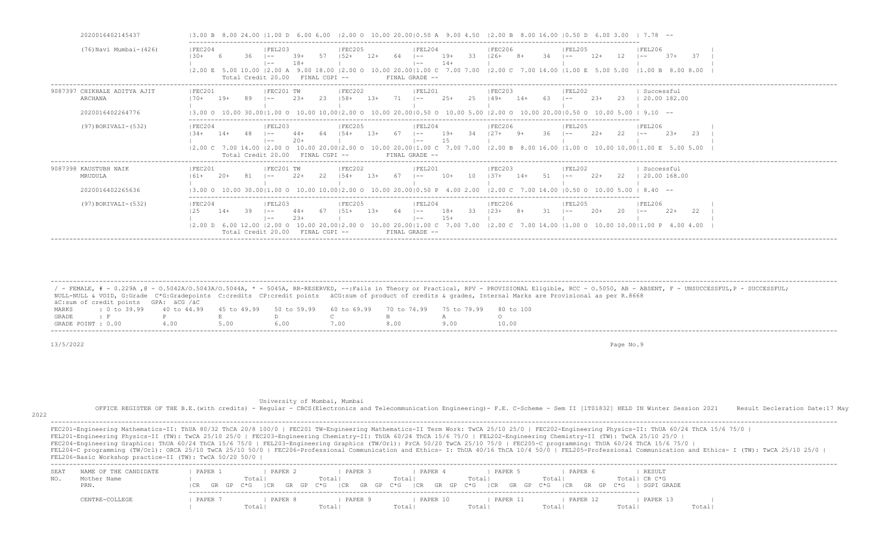| 2020016402145437                                            | $12.00$ O $10.00$ 20.0010.50 A $9.00$ 4.50 12.00 B 8.00 16.00 10.50 D 6.00 3.00<br>6.00 6.00<br>7 78 --                                                                                                                                                                                                                                                                                                                    |
|-------------------------------------------------------------|----------------------------------------------------------------------------------------------------------------------------------------------------------------------------------------------------------------------------------------------------------------------------------------------------------------------------------------------------------------------------------------------------------------------------|
| (76) Navi Mumbai- (426)                                     | FEC206<br><b>FEL206</b><br> FEC204<br> FEL203<br> FEC205<br> FEL204<br> FEL205<br>$126+$<br>$19+$<br>$12+$<br>$37+$<br>$39+$<br>-37<br>36<br>$1 - -$<br>l —— I<br>$14 +$<br>$- -$<br>$- -$<br>12.00 E 5.00 10.00 12.00 A 9.00 18.00 12.00 O 10.00 20.0011.00 C 7.00 7.00 12.00 C 7.00 14.00 11.00 E 5.00 5.00 11.00 B 8.00 8.00<br>Total Credit 20.00 FINAL CGPI --<br>FINAL GRADE --                                      |
| 9087397 CHIKHALE ADITYA AJIT<br>ARCHANA<br>2020016402264776 | FEC201<br>IFEC201 TW<br> FEC202<br>IFEC203<br>IFEL202<br>Successful<br>IFEL201<br>20.00 182.00<br>$25+$<br>$23+$<br>23<br>$2.3+$<br>-23-<br>25<br>-63<br>$1.58+$<br>$1.3+$<br>$149+$<br>$19+$<br>$14+$<br>$- -$<br>$- -$<br>$- -$<br>10.00 20.0010.50 0 10.00 5.00<br>10.00 10.0012.00 0<br>$12.00$ O $10.00$ 20.0010.50 O<br>$9.10 - -$                                                                                   |
| (97) BORIVALI-(532)                                         | FEC206<br> FEC204<br> FEL203<br> FEC205<br> FEL204<br> FEL205<br><b>FEL206</b><br>$19+$<br>$2.3+$<br>$13+$<br>$2.2+$<br>-23-<br>$134+$<br>$14+$<br>$- -$<br>$1 - -$<br>i ——<br>10.00 20.00   1.00 C 7.00 7.00   2.00 B 8.00 16.00   1.00 O 10.00 10.00   1.00 E 5.00 5.00<br>12.00 C 7.00 14.00 12.00 O 10.00 20.0012.00 O<br>Total Credit 20.00 FINAL CGPI --<br>FINAL GRADE --                                           |
| 9087398 KAUSTUBH NAIK<br>MRUDULA<br>2020016402265636        | FEC201<br>IFEC201 TW<br>IFEC202<br>IFEC203<br>IFEL201<br>IFEL202<br>Successful<br>20.00 168.00<br>$2.2+$<br>22<br>$10+$<br>51<br>$22+$<br>-22<br>$154+$<br>-67<br>10<br>$137+$<br>-81<br>$1.3+$<br>$14+$<br>$20+$<br>$- -$<br>$- -$<br>$\sim$<br>$10,00,5,00,1,8,40 =$<br>00 0 10 00 10 00 12 00 0 10 00 20 00 10 50 P<br>4.00 2.00<br>7 00 14 00 10 50 0<br>13.00 <sub>o</sub><br>12 00 C                                 |
| (97) BORIVALI-(532)                                         | FEC204<br> FEL203<br> FEC205<br> FEL204<br>IFEC206<br>IFEL205<br>IFEL206<br>$18+$<br>$2.2+$<br>22<br>-39<br>33<br>$12.3+$<br>$20+$<br>125<br>$14+$<br>$1.51 +$<br>$- -$<br>$- -$<br>$- -$<br>$- -$<br>$15+$<br>$1 - -$<br>i ——<br>12.00 D 6.00 12.00 12.00 O 10.00 20.0012.00 O 10.00 20.0011.00 C 7.00 7.00 12.00 C 7.00 14.00 11.00 O 10.00 10.0011.00 P 4.00 4.00<br>Total Credit 20.00 FINAL CGPI --<br>FINAL GRADE -- |

|                    |                                      |                                                                                                |  |  | ' - FEMALE, # - 0.229A ,@ - 0.5042A/0.5043A/0.5044A, * - 5045A, RR-RESERVED, --:Fails in Theory or Practical, RPV - PROVISIONAL Eligible, RCC - 0.5050, AB - ABSENT, F - UNSUCCESSFUL,P - SUCCESSFUL; |
|--------------------|--------------------------------------|------------------------------------------------------------------------------------------------|--|--|-------------------------------------------------------------------------------------------------------------------------------------------------------------------------------------------------------|
|                    |                                      |                                                                                                |  |  | NULL-NULL & VOID, G:Grade C*G:Gradepoints C:credits CP:credit points äCG:sum of product of credits & qrades, Internal Marks are Provisional as per R.8668                                             |
|                    | äC:sum of credit points GPA: äCG /äC |                                                                                                |  |  |                                                                                                                                                                                                       |
| MARKS              |                                      | t 0 to 39,99 40 to 44,99 45 to 49,99 50 to 59,99 60 to 69,99 70 to 74,99 75 to 79,99 80 to 100 |  |  |                                                                                                                                                                                                       |
| GRADE              |                                      |                                                                                                |  |  |                                                                                                                                                                                                       |
| GRADE POINT : 0.00 |                                      | 400                                                                                            |  |  | 10.00                                                                                                                                                                                                 |

13/5/2022 Page No.9

 University of Mumbai, Mumbai OFFICE REGISTER OF THE B.E.(with credits) - Regular - CBCS(Electronics and Telecommunication Engineering)- F.E. C-Scheme - Sem II [1T01832] HELD IN Winter Session 2021 Result Decleration Date:17 May 2022 ------------------------------------------------------------------------------------------------------------------------------------------------------------------------------------------------------------------- FEC201-Engineering Mathematics-II: ThUA 80/32 ThCA 20/8 100/0 | FEC201 TW-Engineering Mathematics-II Term Work: TwCA 25/10 25/0 | FEC202-Engineering Physics-II: ThUA 60/24 ThCA 15/6 75/0 |

 FEL201-Engineering Physics-II (TW): TwCA 25/10 25/0 | FEC203-Engineering Chemistry-II: ThUA 60/24 ThCA 15/6 75/0 | FEL202-Engineering Chemistry-II (TW): TwCA 25/10 25/0 | FEC204-Engineering Graphics: ThUA 60/24 ThCA 15/6 75/0 | FEL203-Engineering Graphics (TW/Orl): PrCA 50/20 TwCA 25/10 75/0 | FEC205-C programming: ThUA 60/24 ThCA 15/6 75/0 | FEL204-C programming (TW/Orl): ORCA 25/10 TwCA 25/10 50/0 | FEC206-Professional Communication and Ethics- I: ThUA 40/16 ThCA 10/4 50/0 | FEL205-Professional Communication and Ethics- I (TW): TwCA 25/10 25/0 | FEL206-Basic Workshop practice-II (TW): TwCA 50/20 50/0 | -------------------------------------------------------------------------------------------------------------------------------------------------------------------------------------------------------------------

| $SEA^{\pi}$ | NAME OF THE CANDIDATE | PAPER . | PAPER   | PAPER | PAPER 4                                                                                         | PAPER !  | PAPER 6  | RESULT        |       |
|-------------|-----------------------|---------|---------|-------|-------------------------------------------------------------------------------------------------|----------|----------|---------------|-------|
|             | Mother Name           |         | Total.  | Total | Total                                                                                           | Total    | 'otal    | Totall CR C*G |       |
|             | PRN.                  |         |         |       | ∣CR GR GP C*G ∣CR GR GP C*G ∣CR GR GP C*G ∣CR GR GP C*G ∣CR GR GP C*G ∣CR GR GP C*G ∣SGPI GRADE |          |          |               |       |
|             |                       |         |         |       |                                                                                                 |          |          |               |       |
|             | CENTRE-COLLEGE        | PAPER   | PAPER 8 | PAPER | PAPER 10                                                                                        | PAPER 11 | PAPER 12 | PAPER 13      |       |
|             |                       |         | Total   | Total | Total                                                                                           | Total    | Total    | Total         | Total |